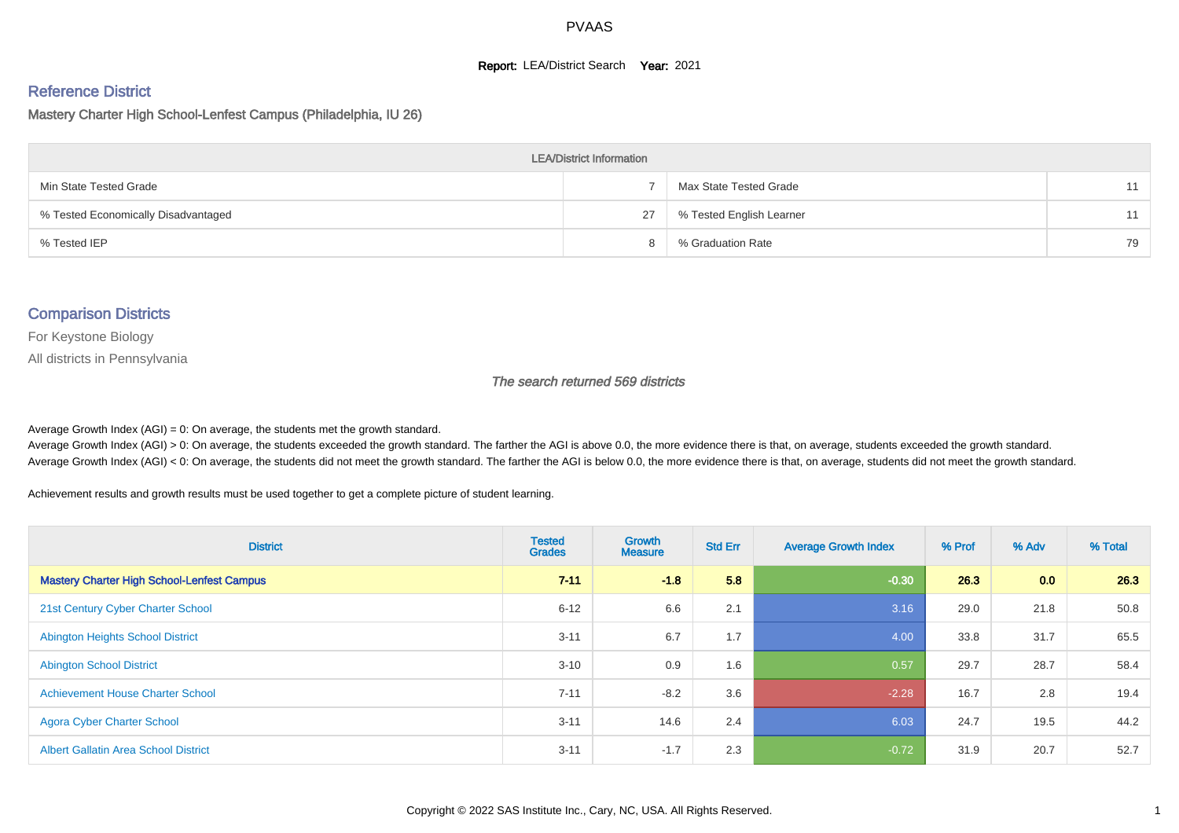#### **Report: LEA/District Search Year: 2021**

#### Reference District

Mastery Charter High School-Lenfest Campus (Philadelphia, IU 26)

| <b>LEA/District Information</b>     |    |                          |    |  |  |  |  |  |  |  |
|-------------------------------------|----|--------------------------|----|--|--|--|--|--|--|--|
| Min State Tested Grade              |    | Max State Tested Grade   | 11 |  |  |  |  |  |  |  |
| % Tested Economically Disadvantaged | 27 | % Tested English Learner | 11 |  |  |  |  |  |  |  |
| % Tested IEP                        |    | % Graduation Rate        | 79 |  |  |  |  |  |  |  |

#### Comparison Districts

For Keystone Biology

All districts in Pennsylvania

The search returned 569 districts

Average Growth Index  $(AGI) = 0$ : On average, the students met the growth standard.

Average Growth Index (AGI) > 0: On average, the students exceeded the growth standard. The farther the AGI is above 0.0, the more evidence there is that, on average, students exceeded the growth standard. Average Growth Index (AGI) < 0: On average, the students did not meet the growth standard. The farther the AGI is below 0.0, the more evidence there is that, on average, students did not meet the growth standard.

Achievement results and growth results must be used together to get a complete picture of student learning.

| <b>District</b>                                   | <b>Tested</b><br><b>Grades</b> | <b>Growth</b><br><b>Measure</b> | <b>Std Err</b> | <b>Average Growth Index</b> | % Prof | % Adv            | % Total |
|---------------------------------------------------|--------------------------------|---------------------------------|----------------|-----------------------------|--------|------------------|---------|
| <b>Mastery Charter High School-Lenfest Campus</b> | $7 - 11$                       | $-1.8$                          | 5.8            | $-0.30$                     | 26.3   | 0.0 <sub>1</sub> | 26.3    |
| 21st Century Cyber Charter School                 | $6 - 12$                       | 6.6                             | 2.1            | 3.16                        | 29.0   | 21.8             | 50.8    |
| <b>Abington Heights School District</b>           | $3 - 11$                       | 6.7                             | 1.7            | 4.00                        | 33.8   | 31.7             | 65.5    |
| <b>Abington School District</b>                   | $3 - 10$                       | 0.9                             | 1.6            | 0.57                        | 29.7   | 28.7             | 58.4    |
| <b>Achievement House Charter School</b>           | $7 - 11$                       | $-8.2$                          | 3.6            | $-2.28$                     | 16.7   | 2.8              | 19.4    |
| <b>Agora Cyber Charter School</b>                 | $3 - 11$                       | 14.6                            | 2.4            | 6.03                        | 24.7   | 19.5             | 44.2    |
| <b>Albert Gallatin Area School District</b>       | $3 - 11$                       | $-1.7$                          | 2.3            | $-0.72$                     | 31.9   | 20.7             | 52.7    |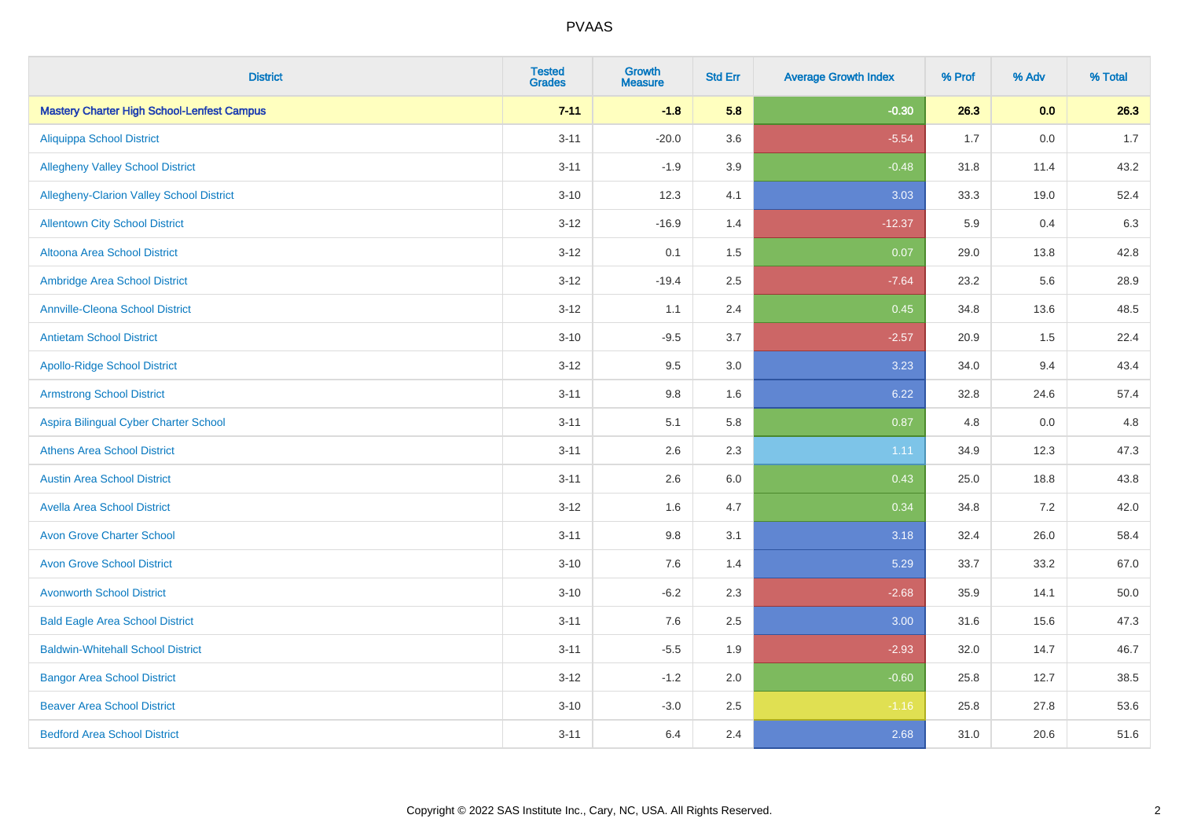| <b>District</b>                                   | <b>Tested</b><br><b>Grades</b> | <b>Growth</b><br><b>Measure</b> | <b>Std Err</b> | <b>Average Growth Index</b> | % Prof | % Adv | % Total |
|---------------------------------------------------|--------------------------------|---------------------------------|----------------|-----------------------------|--------|-------|---------|
| <b>Mastery Charter High School-Lenfest Campus</b> | $7 - 11$                       | $-1.8$                          | 5.8            | $-0.30$                     | 26.3   | 0.0   | 26.3    |
| <b>Aliquippa School District</b>                  | $3 - 11$                       | $-20.0$                         | 3.6            | $-5.54$                     | 1.7    | 0.0   | 1.7     |
| <b>Allegheny Valley School District</b>           | $3 - 11$                       | $-1.9$                          | 3.9            | $-0.48$                     | 31.8   | 11.4  | 43.2    |
| Allegheny-Clarion Valley School District          | $3 - 10$                       | 12.3                            | 4.1            | 3.03                        | 33.3   | 19.0  | 52.4    |
| <b>Allentown City School District</b>             | $3-12$                         | $-16.9$                         | 1.4            | $-12.37$                    | 5.9    | 0.4   | 6.3     |
| <b>Altoona Area School District</b>               | $3-12$                         | 0.1                             | 1.5            | 0.07                        | 29.0   | 13.8  | 42.8    |
| Ambridge Area School District                     | $3 - 12$                       | $-19.4$                         | 2.5            | $-7.64$                     | 23.2   | 5.6   | 28.9    |
| <b>Annville-Cleona School District</b>            | $3 - 12$                       | 1.1                             | 2.4            | 0.45                        | 34.8   | 13.6  | 48.5    |
| <b>Antietam School District</b>                   | $3 - 10$                       | $-9.5$                          | 3.7            | $-2.57$                     | 20.9   | 1.5   | 22.4    |
| <b>Apollo-Ridge School District</b>               | $3 - 12$                       | 9.5                             | 3.0            | 3.23                        | 34.0   | 9.4   | 43.4    |
| <b>Armstrong School District</b>                  | $3 - 11$                       | $9.8\,$                         | 1.6            | 6.22                        | 32.8   | 24.6  | 57.4    |
| Aspira Bilingual Cyber Charter School             | $3 - 11$                       | 5.1                             | 5.8            | 0.87                        | 4.8    | 0.0   | 4.8     |
| <b>Athens Area School District</b>                | $3 - 11$                       | 2.6                             | 2.3            | 1.11                        | 34.9   | 12.3  | 47.3    |
| <b>Austin Area School District</b>                | $3 - 11$                       | 2.6                             | 6.0            | 0.43                        | 25.0   | 18.8  | 43.8    |
| <b>Avella Area School District</b>                | $3 - 12$                       | 1.6                             | 4.7            | 0.34                        | 34.8   | 7.2   | 42.0    |
| <b>Avon Grove Charter School</b>                  | $3 - 11$                       | 9.8                             | 3.1            | 3.18                        | 32.4   | 26.0  | 58.4    |
| <b>Avon Grove School District</b>                 | $3 - 10$                       | 7.6                             | 1.4            | 5.29                        | 33.7   | 33.2  | 67.0    |
| <b>Avonworth School District</b>                  | $3 - 10$                       | $-6.2$                          | 2.3            | $-2.68$                     | 35.9   | 14.1  | 50.0    |
| <b>Bald Eagle Area School District</b>            | $3 - 11$                       | 7.6                             | 2.5            | 3.00                        | 31.6   | 15.6  | 47.3    |
| <b>Baldwin-Whitehall School District</b>          | $3 - 11$                       | $-5.5$                          | 1.9            | $-2.93$                     | 32.0   | 14.7  | 46.7    |
| <b>Bangor Area School District</b>                | $3 - 12$                       | $-1.2$                          | 2.0            | $-0.60$                     | 25.8   | 12.7  | 38.5    |
| <b>Beaver Area School District</b>                | $3 - 10$                       | $-3.0$                          | 2.5            | $-1.16$                     | 25.8   | 27.8  | 53.6    |
| <b>Bedford Area School District</b>               | $3 - 11$                       | 6.4                             | 2.4            | 2.68                        | 31.0   | 20.6  | 51.6    |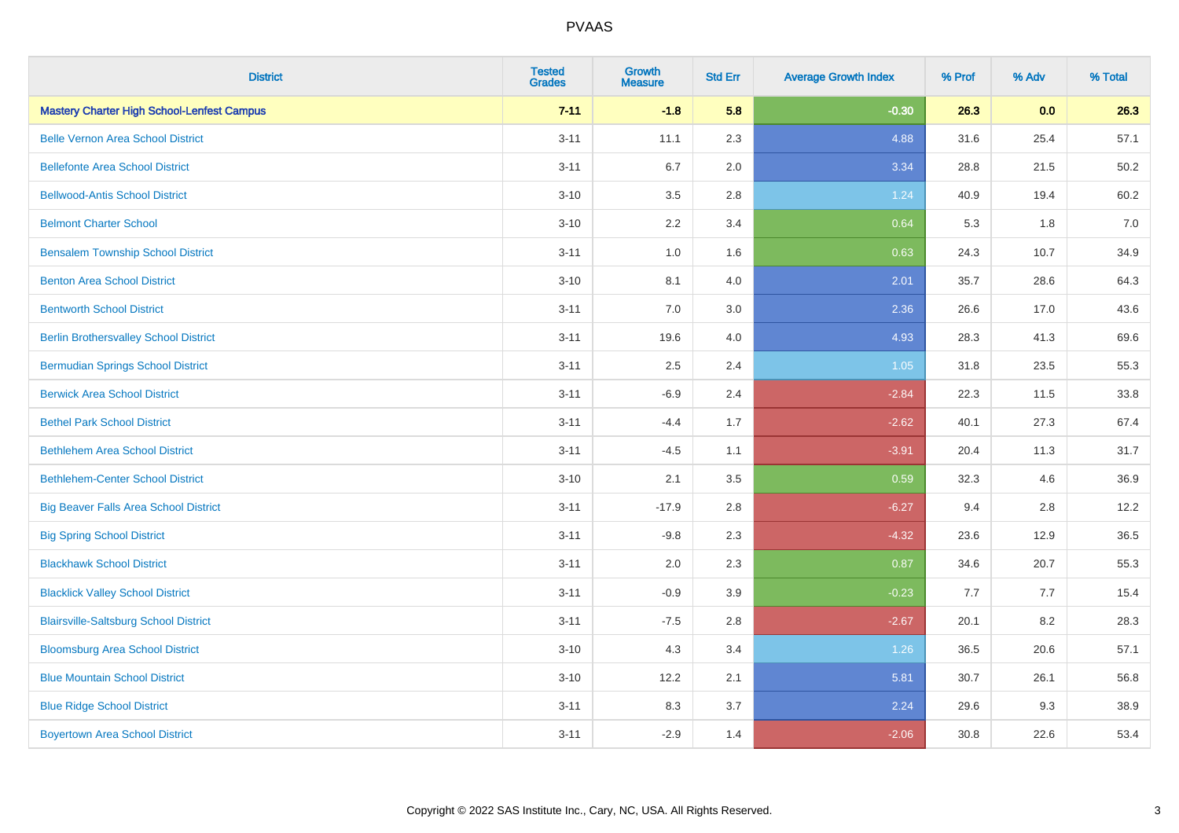| <b>District</b>                                   | <b>Tested</b><br><b>Grades</b> | <b>Growth</b><br><b>Measure</b> | <b>Std Err</b> | <b>Average Growth Index</b> | % Prof | % Adv | % Total |
|---------------------------------------------------|--------------------------------|---------------------------------|----------------|-----------------------------|--------|-------|---------|
| <b>Mastery Charter High School-Lenfest Campus</b> | $7 - 11$                       | $-1.8$                          | 5.8            | $-0.30$                     | 26.3   | 0.0   | 26.3    |
| <b>Belle Vernon Area School District</b>          | $3 - 11$                       | 11.1                            | 2.3            | 4.88                        | 31.6   | 25.4  | 57.1    |
| <b>Bellefonte Area School District</b>            | $3 - 11$                       | 6.7                             | 2.0            | 3.34                        | 28.8   | 21.5  | 50.2    |
| <b>Bellwood-Antis School District</b>             | $3 - 10$                       | 3.5                             | 2.8            | 1.24                        | 40.9   | 19.4  | 60.2    |
| <b>Belmont Charter School</b>                     | $3 - 10$                       | 2.2                             | 3.4            | 0.64                        | 5.3    | 1.8   | 7.0     |
| <b>Bensalem Township School District</b>          | $3 - 11$                       | $1.0\,$                         | 1.6            | 0.63                        | 24.3   | 10.7  | 34.9    |
| <b>Benton Area School District</b>                | $3 - 10$                       | 8.1                             | 4.0            | 2.01                        | 35.7   | 28.6  | 64.3    |
| <b>Bentworth School District</b>                  | $3 - 11$                       | 7.0                             | 3.0            | 2.36                        | 26.6   | 17.0  | 43.6    |
| <b>Berlin Brothersvalley School District</b>      | $3 - 11$                       | 19.6                            | 4.0            | 4.93                        | 28.3   | 41.3  | 69.6    |
| <b>Bermudian Springs School District</b>          | $3 - 11$                       | 2.5                             | 2.4            | 1.05                        | 31.8   | 23.5  | 55.3    |
| <b>Berwick Area School District</b>               | $3 - 11$                       | $-6.9$                          | 2.4            | $-2.84$                     | 22.3   | 11.5  | 33.8    |
| <b>Bethel Park School District</b>                | $3 - 11$                       | $-4.4$                          | 1.7            | $-2.62$                     | 40.1   | 27.3  | 67.4    |
| <b>Bethlehem Area School District</b>             | $3 - 11$                       | $-4.5$                          | 1.1            | $-3.91$                     | 20.4   | 11.3  | 31.7    |
| <b>Bethlehem-Center School District</b>           | $3 - 10$                       | 2.1                             | 3.5            | 0.59                        | 32.3   | 4.6   | 36.9    |
| <b>Big Beaver Falls Area School District</b>      | $3 - 11$                       | $-17.9$                         | 2.8            | $-6.27$                     | 9.4    | 2.8   | 12.2    |
| <b>Big Spring School District</b>                 | $3 - 11$                       | $-9.8$                          | 2.3            | $-4.32$                     | 23.6   | 12.9  | 36.5    |
| <b>Blackhawk School District</b>                  | $3 - 11$                       | 2.0                             | 2.3            | 0.87                        | 34.6   | 20.7  | 55.3    |
| <b>Blacklick Valley School District</b>           | $3 - 11$                       | $-0.9$                          | 3.9            | $-0.23$                     | 7.7    | 7.7   | 15.4    |
| <b>Blairsville-Saltsburg School District</b>      | $3 - 11$                       | $-7.5$                          | 2.8            | $-2.67$                     | 20.1   | 8.2   | 28.3    |
| <b>Bloomsburg Area School District</b>            | $3 - 10$                       | 4.3                             | 3.4            | 1.26                        | 36.5   | 20.6  | 57.1    |
| <b>Blue Mountain School District</b>              | $3 - 10$                       | 12.2                            | 2.1            | 5.81                        | 30.7   | 26.1  | 56.8    |
| <b>Blue Ridge School District</b>                 | $3 - 11$                       | 8.3                             | 3.7            | 2.24                        | 29.6   | 9.3   | 38.9    |
| <b>Boyertown Area School District</b>             | $3 - 11$                       | $-2.9$                          | 1.4            | $-2.06$                     | 30.8   | 22.6  | 53.4    |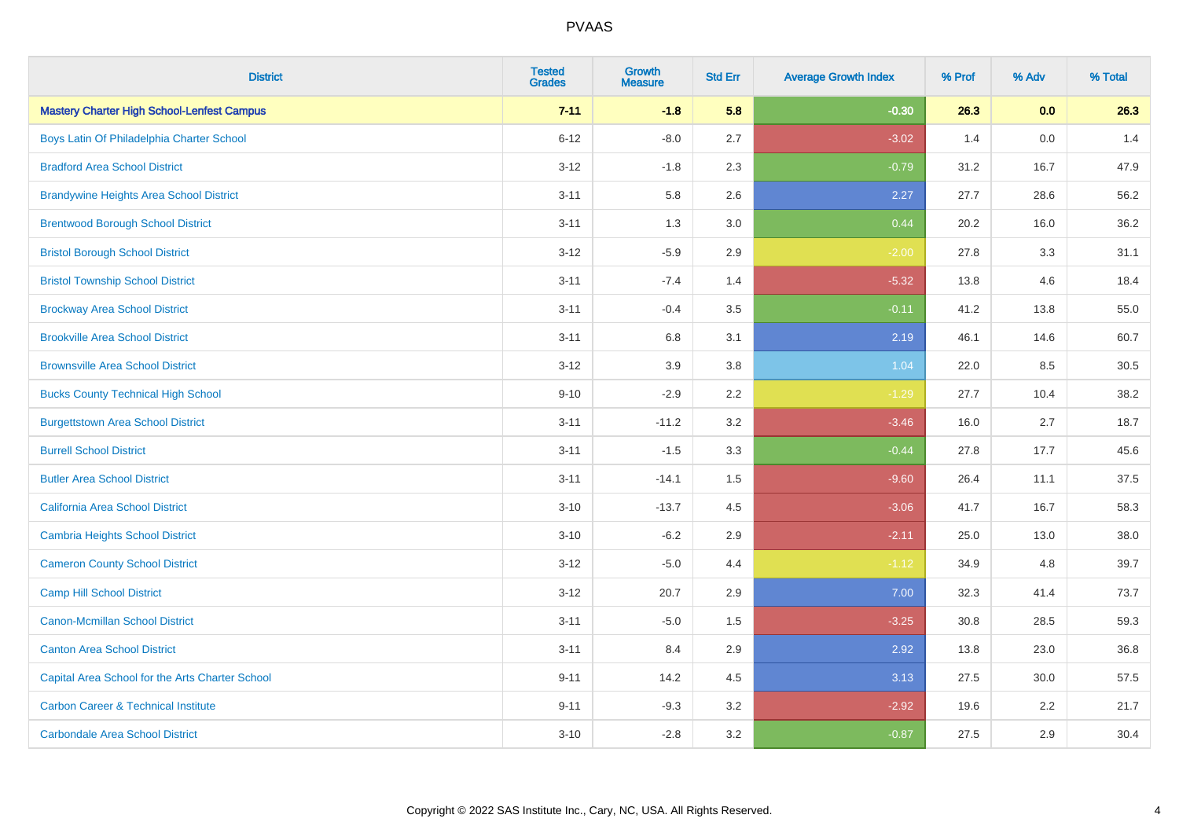| <b>District</b>                                   | <b>Tested</b><br><b>Grades</b> | Growth<br><b>Measure</b> | <b>Std Err</b> | <b>Average Growth Index</b> | % Prof | % Adv | % Total |
|---------------------------------------------------|--------------------------------|--------------------------|----------------|-----------------------------|--------|-------|---------|
| <b>Mastery Charter High School-Lenfest Campus</b> | $7 - 11$                       | $-1.8$                   | 5.8            | $-0.30$                     | 26.3   | 0.0   | 26.3    |
| Boys Latin Of Philadelphia Charter School         | $6 - 12$                       | $-8.0$                   | 2.7            | $-3.02$                     | 1.4    | 0.0   | 1.4     |
| <b>Bradford Area School District</b>              | $3 - 12$                       | $-1.8$                   | 2.3            | $-0.79$                     | 31.2   | 16.7  | 47.9    |
| <b>Brandywine Heights Area School District</b>    | $3 - 11$                       | 5.8                      | 2.6            | 2.27                        | 27.7   | 28.6  | 56.2    |
| <b>Brentwood Borough School District</b>          | $3 - 11$                       | 1.3                      | 3.0            | 0.44                        | 20.2   | 16.0  | 36.2    |
| <b>Bristol Borough School District</b>            | $3-12$                         | $-5.9$                   | 2.9            | $-2.00$                     | 27.8   | 3.3   | 31.1    |
| <b>Bristol Township School District</b>           | $3 - 11$                       | $-7.4$                   | 1.4            | $-5.32$                     | 13.8   | 4.6   | 18.4    |
| <b>Brockway Area School District</b>              | $3 - 11$                       | $-0.4$                   | 3.5            | $-0.11$                     | 41.2   | 13.8  | 55.0    |
| <b>Brookville Area School District</b>            | $3 - 11$                       | 6.8                      | 3.1            | 2.19                        | 46.1   | 14.6  | 60.7    |
| <b>Brownsville Area School District</b>           | $3 - 12$                       | 3.9                      | 3.8            | 1.04                        | 22.0   | 8.5   | 30.5    |
| <b>Bucks County Technical High School</b>         | $9 - 10$                       | $-2.9$                   | 2.2            | $-1.29$                     | 27.7   | 10.4  | 38.2    |
| <b>Burgettstown Area School District</b>          | $3 - 11$                       | $-11.2$                  | 3.2            | $-3.46$                     | 16.0   | 2.7   | 18.7    |
| <b>Burrell School District</b>                    | $3 - 11$                       | $-1.5$                   | 3.3            | $-0.44$                     | 27.8   | 17.7  | 45.6    |
| <b>Butler Area School District</b>                | $3 - 11$                       | $-14.1$                  | 1.5            | $-9.60$                     | 26.4   | 11.1  | 37.5    |
| California Area School District                   | $3 - 10$                       | $-13.7$                  | 4.5            | $-3.06$                     | 41.7   | 16.7  | 58.3    |
| Cambria Heights School District                   | $3 - 10$                       | $-6.2$                   | 2.9            | $-2.11$                     | 25.0   | 13.0  | 38.0    |
| <b>Cameron County School District</b>             | $3 - 12$                       | $-5.0$                   | 4.4            | $-1.12$                     | 34.9   | 4.8   | 39.7    |
| <b>Camp Hill School District</b>                  | $3 - 12$                       | 20.7                     | 2.9            | 7.00                        | 32.3   | 41.4  | 73.7    |
| Canon-Mcmillan School District                    | $3 - 11$                       | $-5.0$                   | 1.5            | $-3.25$                     | 30.8   | 28.5  | 59.3    |
| <b>Canton Area School District</b>                | $3 - 11$                       | 8.4                      | 2.9            | 2.92                        | 13.8   | 23.0  | 36.8    |
| Capital Area School for the Arts Charter School   | $9 - 11$                       | 14.2                     | 4.5            | 3.13                        | 27.5   | 30.0  | 57.5    |
| <b>Carbon Career &amp; Technical Institute</b>    | $9 - 11$                       | $-9.3$                   | 3.2            | $-2.92$                     | 19.6   | 2.2   | 21.7    |
| <b>Carbondale Area School District</b>            | $3 - 10$                       | $-2.8$                   | 3.2            | $-0.87$                     | 27.5   | 2.9   | 30.4    |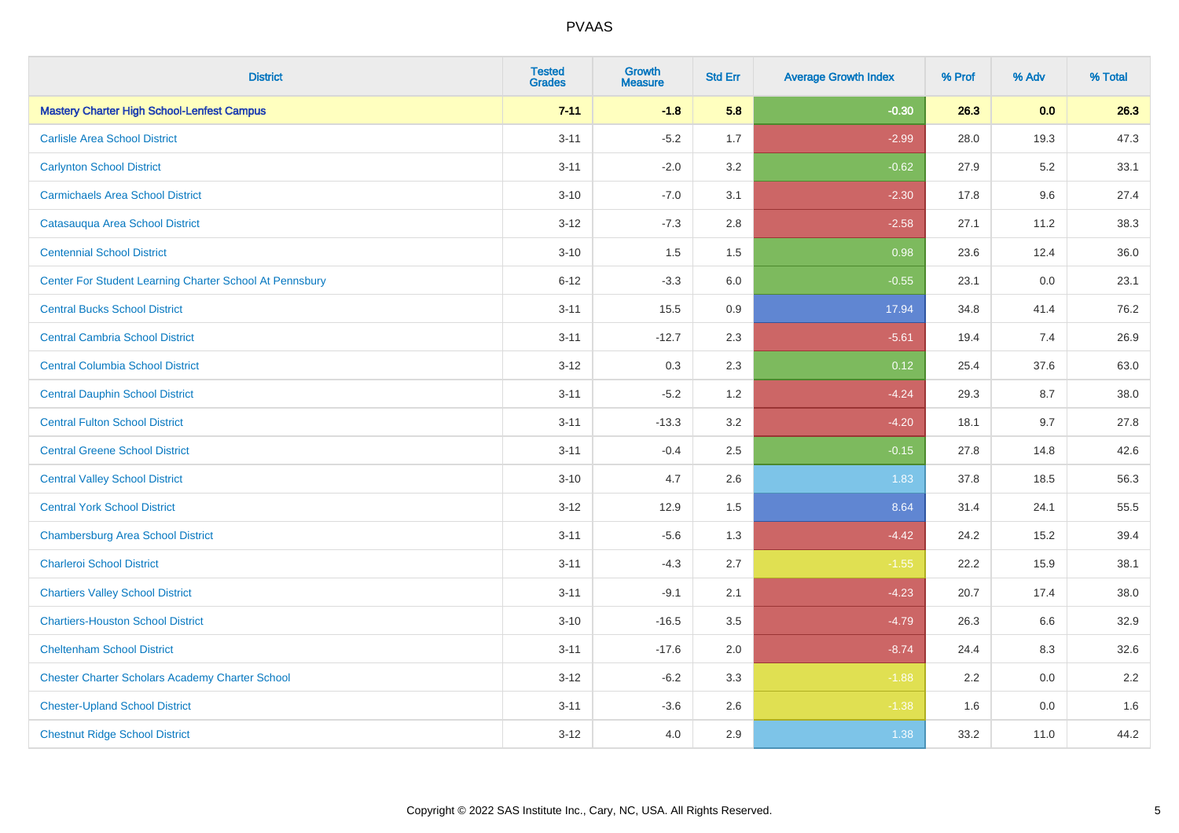| <b>District</b>                                         | <b>Tested</b><br><b>Grades</b> | Growth<br><b>Measure</b> | <b>Std Err</b> | <b>Average Growth Index</b> | % Prof | % Adv | % Total |
|---------------------------------------------------------|--------------------------------|--------------------------|----------------|-----------------------------|--------|-------|---------|
| <b>Mastery Charter High School-Lenfest Campus</b>       | $7 - 11$                       | $-1.8$                   | 5.8            | $-0.30$                     | 26.3   | 0.0   | 26.3    |
| <b>Carlisle Area School District</b>                    | $3 - 11$                       | $-5.2$                   | 1.7            | $-2.99$                     | 28.0   | 19.3  | 47.3    |
| <b>Carlynton School District</b>                        | $3 - 11$                       | $-2.0$                   | 3.2            | $-0.62$                     | 27.9   | 5.2   | 33.1    |
| <b>Carmichaels Area School District</b>                 | $3 - 10$                       | $-7.0$                   | 3.1            | $-2.30$                     | 17.8   | 9.6   | 27.4    |
| Catasauqua Area School District                         | $3 - 12$                       | $-7.3$                   | 2.8            | $-2.58$                     | 27.1   | 11.2  | 38.3    |
| <b>Centennial School District</b>                       | $3 - 10$                       | 1.5                      | 1.5            | 0.98                        | 23.6   | 12.4  | 36.0    |
| Center For Student Learning Charter School At Pennsbury | $6 - 12$                       | $-3.3$                   | 6.0            | $-0.55$                     | 23.1   | 0.0   | 23.1    |
| <b>Central Bucks School District</b>                    | $3 - 11$                       | 15.5                     | 0.9            | 17.94                       | 34.8   | 41.4  | 76.2    |
| <b>Central Cambria School District</b>                  | $3 - 11$                       | $-12.7$                  | 2.3            | $-5.61$                     | 19.4   | 7.4   | 26.9    |
| <b>Central Columbia School District</b>                 | $3 - 12$                       | 0.3                      | 2.3            | 0.12                        | 25.4   | 37.6  | 63.0    |
| <b>Central Dauphin School District</b>                  | $3 - 11$                       | $-5.2$                   | 1.2            | $-4.24$                     | 29.3   | 8.7   | 38.0    |
| <b>Central Fulton School District</b>                   | $3 - 11$                       | $-13.3$                  | 3.2            | $-4.20$                     | 18.1   | 9.7   | 27.8    |
| <b>Central Greene School District</b>                   | $3 - 11$                       | $-0.4$                   | 2.5            | $-0.15$                     | 27.8   | 14.8  | 42.6    |
| <b>Central Valley School District</b>                   | $3 - 10$                       | 4.7                      | 2.6            | 1.83                        | 37.8   | 18.5  | 56.3    |
| <b>Central York School District</b>                     | $3 - 12$                       | 12.9                     | 1.5            | 8.64                        | 31.4   | 24.1  | 55.5    |
| <b>Chambersburg Area School District</b>                | $3 - 11$                       | $-5.6$                   | 1.3            | $-4.42$                     | 24.2   | 15.2  | 39.4    |
| <b>Charleroi School District</b>                        | $3 - 11$                       | $-4.3$                   | 2.7            | $-1.55$                     | 22.2   | 15.9  | 38.1    |
| <b>Chartiers Valley School District</b>                 | $3 - 11$                       | $-9.1$                   | 2.1            | $-4.23$                     | 20.7   | 17.4  | 38.0    |
| <b>Chartiers-Houston School District</b>                | $3 - 10$                       | $-16.5$                  | 3.5            | $-4.79$                     | 26.3   | 6.6   | 32.9    |
| <b>Cheltenham School District</b>                       | $3 - 11$                       | $-17.6$                  | 2.0            | $-8.74$                     | 24.4   | 8.3   | 32.6    |
| <b>Chester Charter Scholars Academy Charter School</b>  | $3 - 12$                       | $-6.2$                   | 3.3            | $-1.88$                     | 2.2    | 0.0   | 2.2     |
| <b>Chester-Upland School District</b>                   | $3 - 11$                       | $-3.6$                   | 2.6            | $-1.38$                     | 1.6    | 0.0   | 1.6     |
| <b>Chestnut Ridge School District</b>                   | $3-12$                         | 4.0                      | 2.9            | 1.38                        | 33.2   | 11.0  | 44.2    |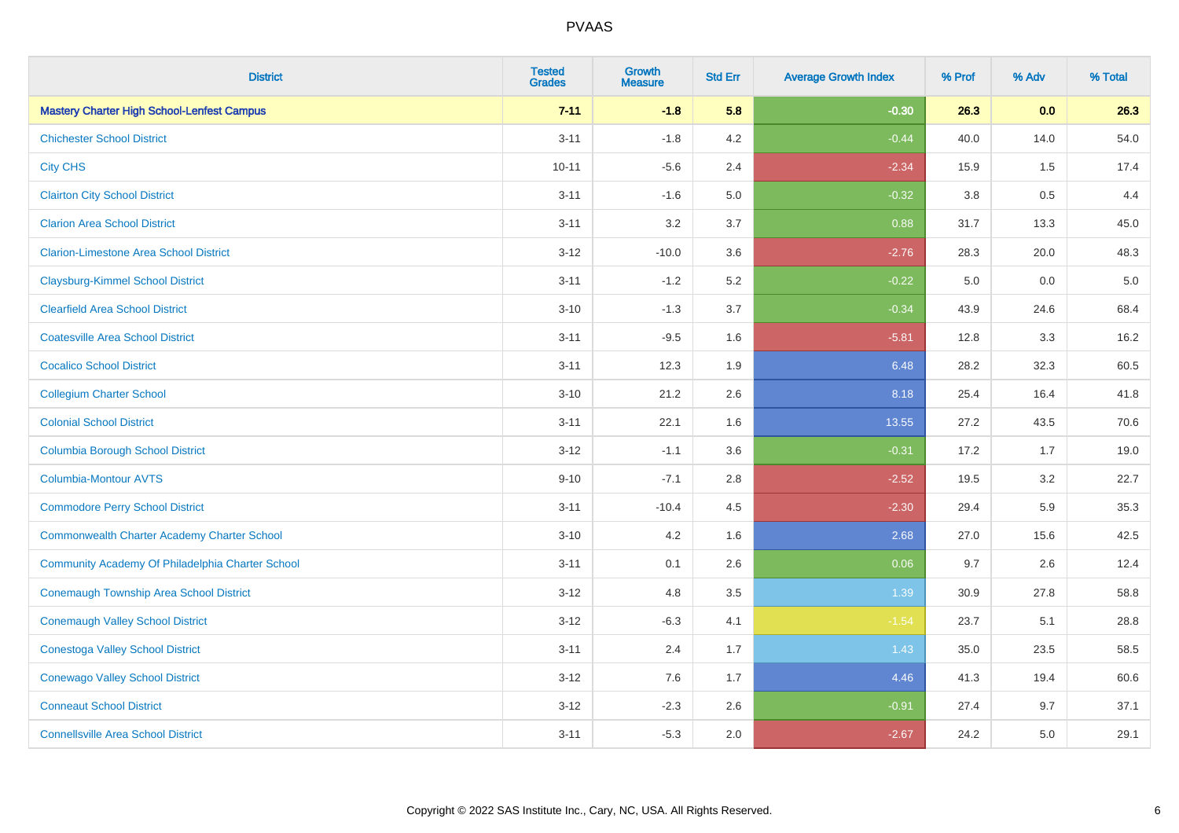| <b>District</b>                                    | <b>Tested</b><br><b>Grades</b> | <b>Growth</b><br><b>Measure</b> | <b>Std Err</b> | <b>Average Growth Index</b> | % Prof  | % Adv | % Total |
|----------------------------------------------------|--------------------------------|---------------------------------|----------------|-----------------------------|---------|-------|---------|
| <b>Mastery Charter High School-Lenfest Campus</b>  | $7 - 11$                       | $-1.8$                          | 5.8            | $-0.30$                     | 26.3    | 0.0   | 26.3    |
| <b>Chichester School District</b>                  | $3 - 11$                       | $-1.8$                          | 4.2            | $-0.44$                     | 40.0    | 14.0  | 54.0    |
| <b>City CHS</b>                                    | $10 - 11$                      | $-5.6$                          | 2.4            | $-2.34$                     | 15.9    | 1.5   | 17.4    |
| <b>Clairton City School District</b>               | $3 - 11$                       | $-1.6$                          | 5.0            | $-0.32$                     | $3.8\,$ | 0.5   | 4.4     |
| <b>Clarion Area School District</b>                | $3 - 11$                       | 3.2                             | 3.7            | 0.88                        | 31.7    | 13.3  | 45.0    |
| <b>Clarion-Limestone Area School District</b>      | $3 - 12$                       | $-10.0$                         | 3.6            | $-2.76$                     | 28.3    | 20.0  | 48.3    |
| <b>Claysburg-Kimmel School District</b>            | $3 - 11$                       | $-1.2$                          | 5.2            | $-0.22$                     | 5.0     | 0.0   | $5.0$   |
| <b>Clearfield Area School District</b>             | $3 - 10$                       | $-1.3$                          | 3.7            | $-0.34$                     | 43.9    | 24.6  | 68.4    |
| <b>Coatesville Area School District</b>            | $3 - 11$                       | $-9.5$                          | 1.6            | $-5.81$                     | 12.8    | 3.3   | 16.2    |
| <b>Cocalico School District</b>                    | $3 - 11$                       | 12.3                            | 1.9            | 6.48                        | 28.2    | 32.3  | 60.5    |
| <b>Collegium Charter School</b>                    | $3 - 10$                       | 21.2                            | 2.6            | 8.18                        | 25.4    | 16.4  | 41.8    |
| <b>Colonial School District</b>                    | $3 - 11$                       | 22.1                            | 1.6            | 13.55                       | 27.2    | 43.5  | 70.6    |
| <b>Columbia Borough School District</b>            | $3 - 12$                       | $-1.1$                          | 3.6            | $-0.31$                     | 17.2    | 1.7   | 19.0    |
| <b>Columbia-Montour AVTS</b>                       | $9 - 10$                       | $-7.1$                          | 2.8            | $-2.52$                     | 19.5    | 3.2   | 22.7    |
| <b>Commodore Perry School District</b>             | $3 - 11$                       | $-10.4$                         | 4.5            | $-2.30$                     | 29.4    | 5.9   | 35.3    |
| <b>Commonwealth Charter Academy Charter School</b> | $3 - 10$                       | 4.2                             | 1.6            | 2.68                        | 27.0    | 15.6  | 42.5    |
| Community Academy Of Philadelphia Charter School   | $3 - 11$                       | 0.1                             | 2.6            | 0.06                        | 9.7     | 2.6   | 12.4    |
| Conemaugh Township Area School District            | $3 - 12$                       | 4.8                             | 3.5            | 1.39                        | 30.9    | 27.8  | 58.8    |
| <b>Conemaugh Valley School District</b>            | $3 - 12$                       | $-6.3$                          | 4.1            | $-1.54$                     | 23.7    | 5.1   | 28.8    |
| <b>Conestoga Valley School District</b>            | $3 - 11$                       | 2.4                             | 1.7            | 1.43                        | 35.0    | 23.5  | 58.5    |
| <b>Conewago Valley School District</b>             | $3 - 12$                       | 7.6                             | 1.7            | 4.46                        | 41.3    | 19.4  | 60.6    |
| <b>Conneaut School District</b>                    | $3 - 12$                       | $-2.3$                          | 2.6            | $-0.91$                     | 27.4    | 9.7   | 37.1    |
| <b>Connellsville Area School District</b>          | $3 - 11$                       | $-5.3$                          | 2.0            | $-2.67$                     | 24.2    | 5.0   | 29.1    |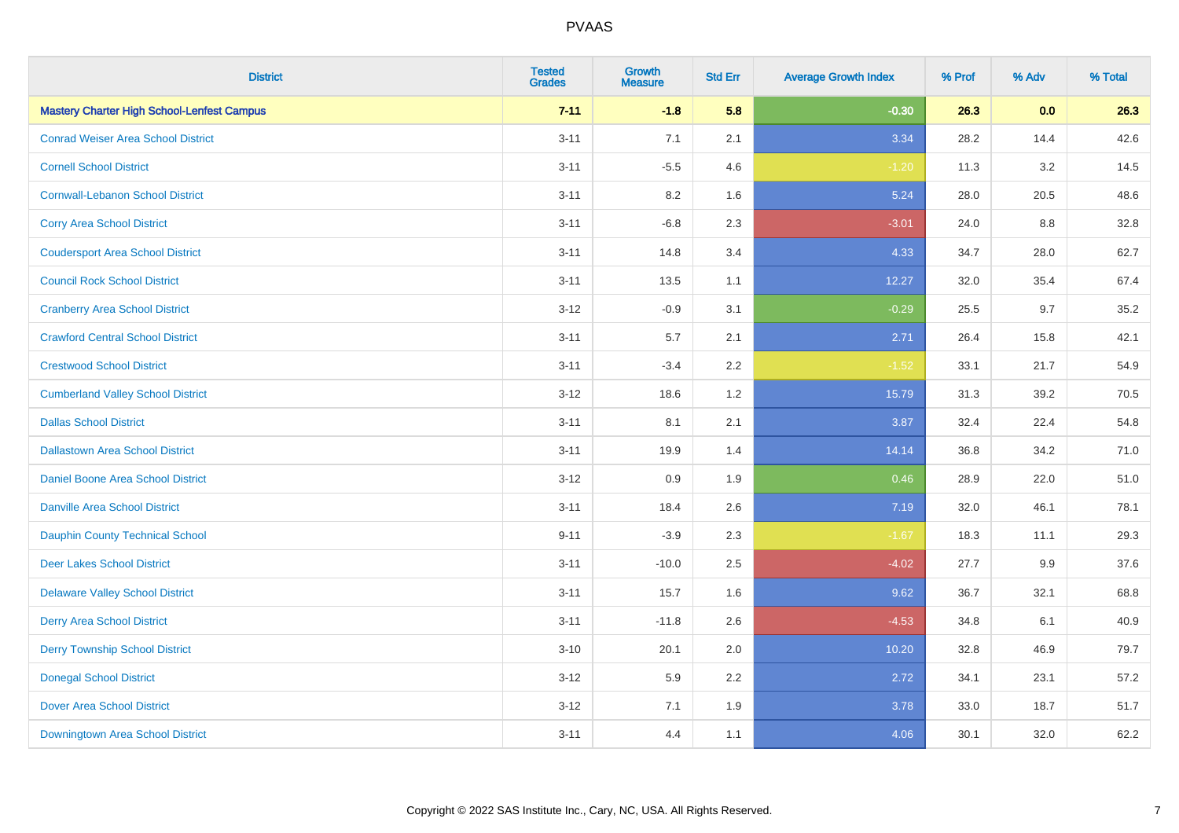| <b>District</b>                                   | <b>Tested</b><br><b>Grades</b> | <b>Growth</b><br><b>Measure</b> | <b>Std Err</b> | <b>Average Growth Index</b> | % Prof | % Adv | % Total |
|---------------------------------------------------|--------------------------------|---------------------------------|----------------|-----------------------------|--------|-------|---------|
| <b>Mastery Charter High School-Lenfest Campus</b> | $7 - 11$                       | $-1.8$                          | 5.8            | $-0.30$                     | 26.3   | 0.0   | 26.3    |
| <b>Conrad Weiser Area School District</b>         | $3 - 11$                       | 7.1                             | 2.1            | 3.34                        | 28.2   | 14.4  | 42.6    |
| <b>Cornell School District</b>                    | $3 - 11$                       | $-5.5$                          | 4.6            | $-1.20$                     | 11.3   | 3.2   | 14.5    |
| <b>Cornwall-Lebanon School District</b>           | $3 - 11$                       | 8.2                             | 1.6            | 5.24                        | 28.0   | 20.5  | 48.6    |
| <b>Corry Area School District</b>                 | $3 - 11$                       | $-6.8$                          | 2.3            | $-3.01$                     | 24.0   | 8.8   | 32.8    |
| <b>Coudersport Area School District</b>           | $3 - 11$                       | 14.8                            | 3.4            | 4.33                        | 34.7   | 28.0  | 62.7    |
| <b>Council Rock School District</b>               | $3 - 11$                       | 13.5                            | 1.1            | 12.27                       | 32.0   | 35.4  | 67.4    |
| <b>Cranberry Area School District</b>             | $3 - 12$                       | $-0.9$                          | 3.1            | $-0.29$                     | 25.5   | 9.7   | 35.2    |
| <b>Crawford Central School District</b>           | $3 - 11$                       | 5.7                             | 2.1            | 2.71                        | 26.4   | 15.8  | 42.1    |
| <b>Crestwood School District</b>                  | $3 - 11$                       | $-3.4$                          | 2.2            | $-1.52$                     | 33.1   | 21.7  | 54.9    |
| <b>Cumberland Valley School District</b>          | $3 - 12$                       | 18.6                            | 1.2            | 15.79                       | 31.3   | 39.2  | 70.5    |
| <b>Dallas School District</b>                     | $3 - 11$                       | 8.1                             | 2.1            | 3.87                        | 32.4   | 22.4  | 54.8    |
| <b>Dallastown Area School District</b>            | $3 - 11$                       | 19.9                            | 1.4            | 14.14                       | 36.8   | 34.2  | 71.0    |
| <b>Daniel Boone Area School District</b>          | $3 - 12$                       | 0.9                             | 1.9            | 0.46                        | 28.9   | 22.0  | 51.0    |
| <b>Danville Area School District</b>              | $3 - 11$                       | 18.4                            | 2.6            | 7.19                        | 32.0   | 46.1  | 78.1    |
| <b>Dauphin County Technical School</b>            | $9 - 11$                       | $-3.9$                          | 2.3            | $-1.67$                     | 18.3   | 11.1  | 29.3    |
| <b>Deer Lakes School District</b>                 | $3 - 11$                       | $-10.0$                         | 2.5            | $-4.02$                     | 27.7   | 9.9   | 37.6    |
| <b>Delaware Valley School District</b>            | $3 - 11$                       | 15.7                            | 1.6            | 9.62                        | 36.7   | 32.1  | 68.8    |
| <b>Derry Area School District</b>                 | $3 - 11$                       | $-11.8$                         | 2.6            | $-4.53$                     | 34.8   | 6.1   | 40.9    |
| <b>Derry Township School District</b>             | $3 - 10$                       | 20.1                            | 2.0            | 10.20                       | 32.8   | 46.9  | 79.7    |
| <b>Donegal School District</b>                    | $3 - 12$                       | 5.9                             | 2.2            | 2.72                        | 34.1   | 23.1  | 57.2    |
| <b>Dover Area School District</b>                 | $3 - 12$                       | 7.1                             | 1.9            | 3.78                        | 33.0   | 18.7  | 51.7    |
| Downingtown Area School District                  | $3 - 11$                       | 4.4                             | 1.1            | 4.06                        | 30.1   | 32.0  | 62.2    |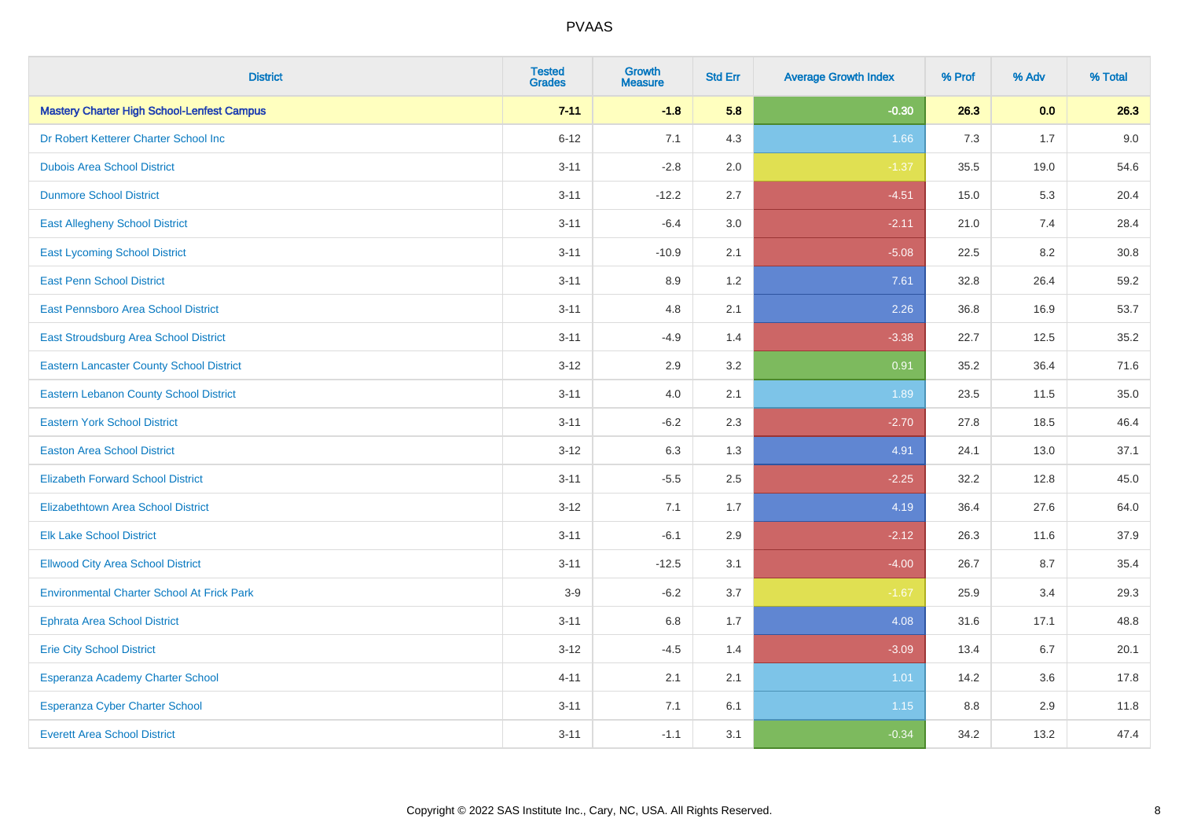| <b>District</b>                                   | <b>Tested</b><br><b>Grades</b> | Growth<br><b>Measure</b> | <b>Std Err</b> | <b>Average Growth Index</b> | % Prof | % Adv | % Total |
|---------------------------------------------------|--------------------------------|--------------------------|----------------|-----------------------------|--------|-------|---------|
| <b>Mastery Charter High School-Lenfest Campus</b> | $7 - 11$                       | $-1.8$                   | 5.8            | $-0.30$                     | 26.3   | 0.0   | 26.3    |
| Dr Robert Ketterer Charter School Inc             | $6 - 12$                       | 7.1                      | 4.3            | 1.66                        | 7.3    | 1.7   | 9.0     |
| <b>Dubois Area School District</b>                | $3 - 11$                       | $-2.8$                   | 2.0            | $-1.37$                     | 35.5   | 19.0  | 54.6    |
| <b>Dunmore School District</b>                    | $3 - 11$                       | $-12.2$                  | 2.7            | $-4.51$                     | 15.0   | 5.3   | 20.4    |
| <b>East Allegheny School District</b>             | $3 - 11$                       | $-6.4$                   | 3.0            | $-2.11$                     | 21.0   | 7.4   | 28.4    |
| <b>East Lycoming School District</b>              | $3 - 11$                       | $-10.9$                  | 2.1            | $-5.08$                     | 22.5   | 8.2   | 30.8    |
| <b>East Penn School District</b>                  | $3 - 11$                       | 8.9                      | 1.2            | 7.61                        | 32.8   | 26.4  | 59.2    |
| East Pennsboro Area School District               | $3 - 11$                       | 4.8                      | 2.1            | 2.26                        | 36.8   | 16.9  | 53.7    |
| East Stroudsburg Area School District             | $3 - 11$                       | $-4.9$                   | 1.4            | $-3.38$                     | 22.7   | 12.5  | 35.2    |
| <b>Eastern Lancaster County School District</b>   | $3 - 12$                       | 2.9                      | 3.2            | 0.91                        | 35.2   | 36.4  | 71.6    |
| <b>Eastern Lebanon County School District</b>     | $3 - 11$                       | 4.0                      | 2.1            | 1.89                        | 23.5   | 11.5  | 35.0    |
| <b>Eastern York School District</b>               | $3 - 11$                       | $-6.2$                   | 2.3            | $-2.70$                     | 27.8   | 18.5  | 46.4    |
| <b>Easton Area School District</b>                | $3 - 12$                       | 6.3                      | 1.3            | 4.91                        | 24.1   | 13.0  | 37.1    |
| <b>Elizabeth Forward School District</b>          | $3 - 11$                       | $-5.5$                   | 2.5            | $-2.25$                     | 32.2   | 12.8  | 45.0    |
| <b>Elizabethtown Area School District</b>         | $3 - 12$                       | 7.1                      | 1.7            | 4.19                        | 36.4   | 27.6  | 64.0    |
| <b>Elk Lake School District</b>                   | $3 - 11$                       | $-6.1$                   | 2.9            | $-2.12$                     | 26.3   | 11.6  | 37.9    |
| <b>Ellwood City Area School District</b>          | $3 - 11$                       | $-12.5$                  | 3.1            | $-4.00$                     | 26.7   | 8.7   | 35.4    |
| <b>Environmental Charter School At Frick Park</b> | $3-9$                          | $-6.2$                   | 3.7            | $-1.67$                     | 25.9   | 3.4   | 29.3    |
| <b>Ephrata Area School District</b>               | $3 - 11$                       | 6.8                      | 1.7            | 4.08                        | 31.6   | 17.1  | 48.8    |
| <b>Erie City School District</b>                  | $3 - 12$                       | $-4.5$                   | 1.4            | $-3.09$                     | 13.4   | 6.7   | 20.1    |
| Esperanza Academy Charter School                  | $4 - 11$                       | 2.1                      | 2.1            | 1.01                        | 14.2   | 3.6   | 17.8    |
| Esperanza Cyber Charter School                    | $3 - 11$                       | 7.1                      | 6.1            | 1.15                        | 8.8    | 2.9   | 11.8    |
| <b>Everett Area School District</b>               | $3 - 11$                       | $-1.1$                   | 3.1            | $-0.34$                     | 34.2   | 13.2  | 47.4    |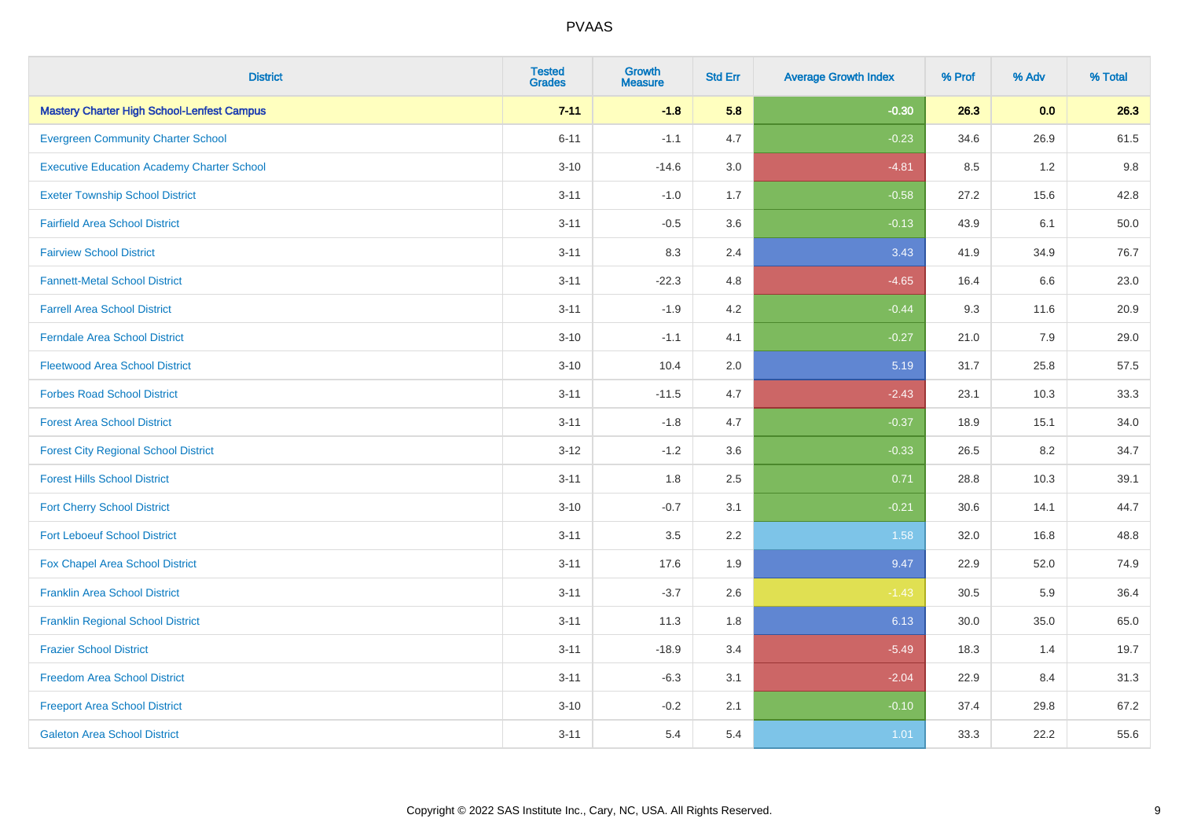| <b>District</b>                                   | <b>Tested</b><br><b>Grades</b> | <b>Growth</b><br><b>Measure</b> | <b>Std Err</b> | <b>Average Growth Index</b> | % Prof | % Adv | % Total |
|---------------------------------------------------|--------------------------------|---------------------------------|----------------|-----------------------------|--------|-------|---------|
| <b>Mastery Charter High School-Lenfest Campus</b> | $7 - 11$                       | $-1.8$                          | 5.8            | $-0.30$                     | 26.3   | 0.0   | 26.3    |
| <b>Evergreen Community Charter School</b>         | $6 - 11$                       | $-1.1$                          | 4.7            | $-0.23$                     | 34.6   | 26.9  | 61.5    |
| <b>Executive Education Academy Charter School</b> | $3 - 10$                       | $-14.6$                         | 3.0            | $-4.81$                     | 8.5    | 1.2   | 9.8     |
| <b>Exeter Township School District</b>            | $3 - 11$                       | $-1.0$                          | 1.7            | $-0.58$                     | 27.2   | 15.6  | 42.8    |
| <b>Fairfield Area School District</b>             | $3 - 11$                       | $-0.5$                          | 3.6            | $-0.13$                     | 43.9   | 6.1   | 50.0    |
| <b>Fairview School District</b>                   | $3 - 11$                       | 8.3                             | 2.4            | 3.43                        | 41.9   | 34.9  | 76.7    |
| <b>Fannett-Metal School District</b>              | $3 - 11$                       | $-22.3$                         | 4.8            | $-4.65$                     | 16.4   | 6.6   | 23.0    |
| <b>Farrell Area School District</b>               | $3 - 11$                       | $-1.9$                          | 4.2            | $-0.44$                     | 9.3    | 11.6  | 20.9    |
| <b>Ferndale Area School District</b>              | $3 - 10$                       | $-1.1$                          | 4.1            | $-0.27$                     | 21.0   | 7.9   | 29.0    |
| <b>Fleetwood Area School District</b>             | $3 - 10$                       | 10.4                            | 2.0            | 5.19                        | 31.7   | 25.8  | 57.5    |
| <b>Forbes Road School District</b>                | $3 - 11$                       | $-11.5$                         | 4.7            | $-2.43$                     | 23.1   | 10.3  | 33.3    |
| <b>Forest Area School District</b>                | $3 - 11$                       | $-1.8$                          | 4.7            | $-0.37$                     | 18.9   | 15.1  | 34.0    |
| <b>Forest City Regional School District</b>       | $3-12$                         | $-1.2$                          | 3.6            | $-0.33$                     | 26.5   | 8.2   | 34.7    |
| <b>Forest Hills School District</b>               | $3 - 11$                       | 1.8                             | 2.5            | 0.71                        | 28.8   | 10.3  | 39.1    |
| <b>Fort Cherry School District</b>                | $3 - 10$                       | $-0.7$                          | 3.1            | $-0.21$                     | 30.6   | 14.1  | 44.7    |
| <b>Fort Leboeuf School District</b>               | $3 - 11$                       | 3.5                             | 2.2            | 1.58                        | 32.0   | 16.8  | 48.8    |
| Fox Chapel Area School District                   | $3 - 11$                       | 17.6                            | 1.9            | 9.47                        | 22.9   | 52.0  | 74.9    |
| <b>Franklin Area School District</b>              | $3 - 11$                       | $-3.7$                          | 2.6            | $-1.43$                     | 30.5   | 5.9   | 36.4    |
| <b>Franklin Regional School District</b>          | $3 - 11$                       | 11.3                            | 1.8            | 6.13                        | 30.0   | 35.0  | 65.0    |
| <b>Frazier School District</b>                    | $3 - 11$                       | $-18.9$                         | 3.4            | $-5.49$                     | 18.3   | 1.4   | 19.7    |
| <b>Freedom Area School District</b>               | $3 - 11$                       | $-6.3$                          | 3.1            | $-2.04$                     | 22.9   | 8.4   | 31.3    |
| <b>Freeport Area School District</b>              | $3 - 10$                       | $-0.2$                          | 2.1            | $-0.10$                     | 37.4   | 29.8  | 67.2    |
| <b>Galeton Area School District</b>               | $3 - 11$                       | 5.4                             | 5.4            | 1.01                        | 33.3   | 22.2  | 55.6    |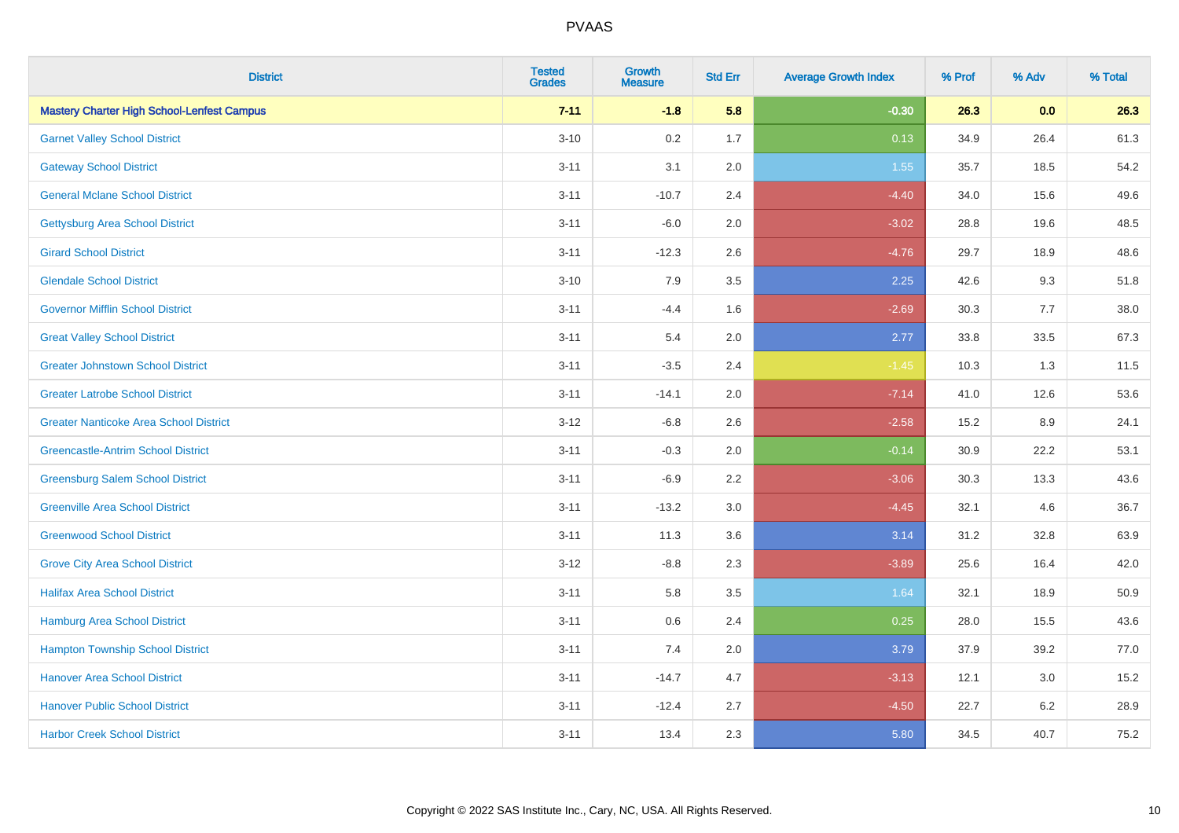| <b>District</b>                                   | <b>Tested</b><br><b>Grades</b> | <b>Growth</b><br><b>Measure</b> | <b>Std Err</b> | <b>Average Growth Index</b> | % Prof | % Adv   | % Total |
|---------------------------------------------------|--------------------------------|---------------------------------|----------------|-----------------------------|--------|---------|---------|
| <b>Mastery Charter High School-Lenfest Campus</b> | $7 - 11$                       | $-1.8$                          | 5.8            | $-0.30$                     | 26.3   | 0.0     | 26.3    |
| <b>Garnet Valley School District</b>              | $3 - 10$                       | 0.2                             | 1.7            | 0.13                        | 34.9   | 26.4    | 61.3    |
| <b>Gateway School District</b>                    | $3 - 11$                       | 3.1                             | 2.0            | 1.55                        | 35.7   | 18.5    | 54.2    |
| <b>General Mclane School District</b>             | $3 - 11$                       | $-10.7$                         | 2.4            | $-4.40$                     | 34.0   | 15.6    | 49.6    |
| <b>Gettysburg Area School District</b>            | $3 - 11$                       | $-6.0$                          | 2.0            | $-3.02$                     | 28.8   | 19.6    | 48.5    |
| <b>Girard School District</b>                     | $3 - 11$                       | $-12.3$                         | 2.6            | $-4.76$                     | 29.7   | 18.9    | 48.6    |
| <b>Glendale School District</b>                   | $3 - 10$                       | 7.9                             | 3.5            | 2.25                        | 42.6   | 9.3     | 51.8    |
| <b>Governor Mifflin School District</b>           | $3 - 11$                       | $-4.4$                          | 1.6            | $-2.69$                     | 30.3   | 7.7     | 38.0    |
| <b>Great Valley School District</b>               | $3 - 11$                       | 5.4                             | 2.0            | 2.77                        | 33.8   | 33.5    | 67.3    |
| <b>Greater Johnstown School District</b>          | $3 - 11$                       | $-3.5$                          | 2.4            | $-1.45$                     | 10.3   | 1.3     | 11.5    |
| <b>Greater Latrobe School District</b>            | $3 - 11$                       | $-14.1$                         | 2.0            | $-7.14$                     | 41.0   | 12.6    | 53.6    |
| <b>Greater Nanticoke Area School District</b>     | $3 - 12$                       | $-6.8$                          | 2.6            | $-2.58$                     | 15.2   | 8.9     | 24.1    |
| <b>Greencastle-Antrim School District</b>         | $3 - 11$                       | $-0.3$                          | 2.0            | $-0.14$                     | 30.9   | 22.2    | 53.1    |
| <b>Greensburg Salem School District</b>           | $3 - 11$                       | $-6.9$                          | 2.2            | $-3.06$                     | 30.3   | 13.3    | 43.6    |
| <b>Greenville Area School District</b>            | $3 - 11$                       | $-13.2$                         | 3.0            | $-4.45$                     | 32.1   | 4.6     | 36.7    |
| <b>Greenwood School District</b>                  | $3 - 11$                       | 11.3                            | 3.6            | 3.14                        | 31.2   | 32.8    | 63.9    |
| <b>Grove City Area School District</b>            | $3 - 12$                       | $-8.8$                          | 2.3            | $-3.89$                     | 25.6   | 16.4    | 42.0    |
| <b>Halifax Area School District</b>               | $3 - 11$                       | 5.8                             | 3.5            | 1.64                        | 32.1   | 18.9    | 50.9    |
| Hamburg Area School District                      | $3 - 11$                       | 0.6                             | 2.4            | 0.25                        | 28.0   | 15.5    | 43.6    |
| <b>Hampton Township School District</b>           | $3 - 11$                       | 7.4                             | 2.0            | 3.79                        | 37.9   | 39.2    | 77.0    |
| <b>Hanover Area School District</b>               | $3 - 11$                       | $-14.7$                         | 4.7            | $-3.13$                     | 12.1   | 3.0     | 15.2    |
| <b>Hanover Public School District</b>             | $3 - 11$                       | $-12.4$                         | 2.7            | $-4.50$                     | 22.7   | $6.2\,$ | 28.9    |
| <b>Harbor Creek School District</b>               | $3 - 11$                       | 13.4                            | 2.3            | 5.80                        | 34.5   | 40.7    | 75.2    |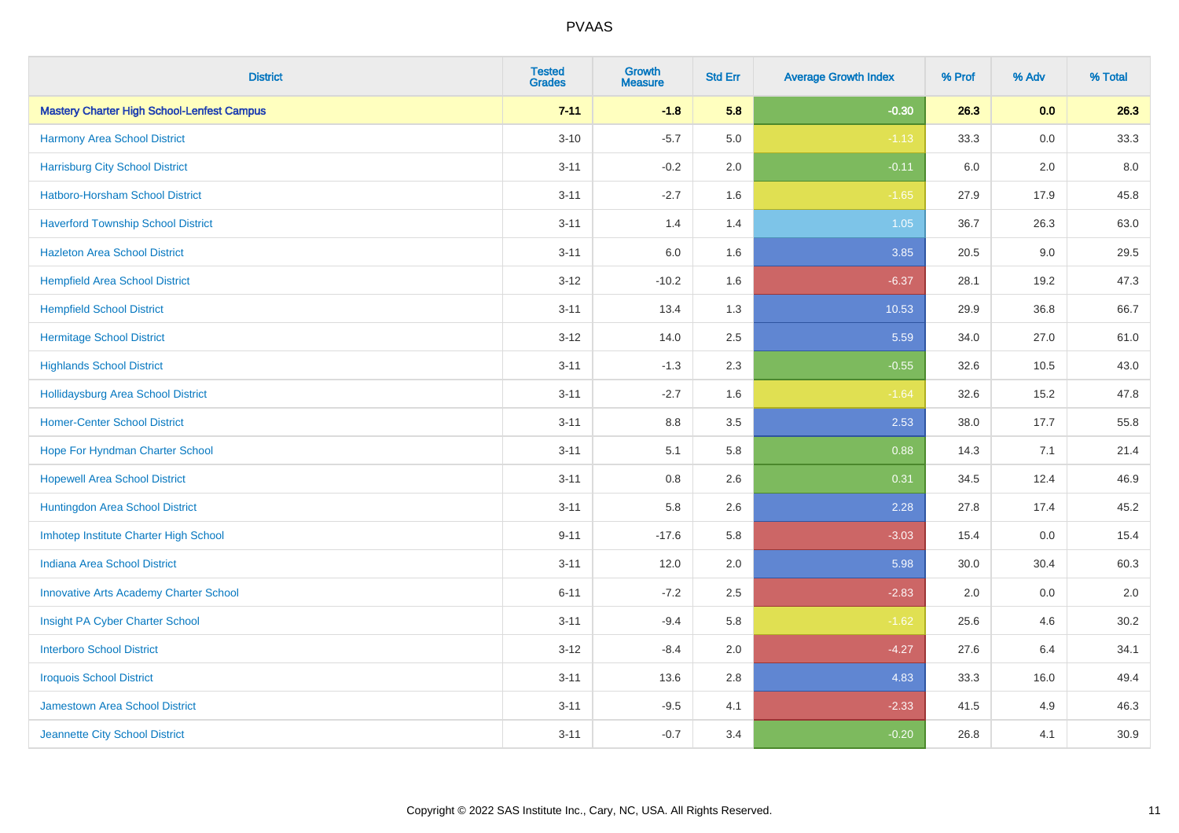| <b>District</b>                                   | <b>Tested</b><br><b>Grades</b> | <b>Growth</b><br><b>Measure</b> | <b>Std Err</b> | <b>Average Growth Index</b> | % Prof | % Adv | % Total |
|---------------------------------------------------|--------------------------------|---------------------------------|----------------|-----------------------------|--------|-------|---------|
| <b>Mastery Charter High School-Lenfest Campus</b> | $7 - 11$                       | $-1.8$                          | 5.8            | $-0.30$                     | 26.3   | 0.0   | 26.3    |
| Harmony Area School District                      | $3 - 10$                       | $-5.7$                          | 5.0            | $-1.13$                     | 33.3   | 0.0   | 33.3    |
| <b>Harrisburg City School District</b>            | $3 - 11$                       | $-0.2$                          | 2.0            | $-0.11$                     | 6.0    | 2.0   | $8.0\,$ |
| <b>Hatboro-Horsham School District</b>            | $3 - 11$                       | $-2.7$                          | 1.6            | $-1.65$                     | 27.9   | 17.9  | 45.8    |
| <b>Haverford Township School District</b>         | $3 - 11$                       | 1.4                             | 1.4            | $1.05$                      | 36.7   | 26.3  | 63.0    |
| <b>Hazleton Area School District</b>              | $3 - 11$                       | 6.0                             | 1.6            | 3.85                        | 20.5   | 9.0   | 29.5    |
| <b>Hempfield Area School District</b>             | $3 - 12$                       | $-10.2$                         | 1.6            | $-6.37$                     | 28.1   | 19.2  | 47.3    |
| <b>Hempfield School District</b>                  | $3 - 11$                       | 13.4                            | 1.3            | 10.53                       | 29.9   | 36.8  | 66.7    |
| <b>Hermitage School District</b>                  | $3 - 12$                       | 14.0                            | 2.5            | 5.59                        | 34.0   | 27.0  | 61.0    |
| <b>Highlands School District</b>                  | $3 - 11$                       | $-1.3$                          | 2.3            | $-0.55$                     | 32.6   | 10.5  | 43.0    |
| <b>Hollidaysburg Area School District</b>         | $3 - 11$                       | $-2.7$                          | 1.6            | $-1.64$                     | 32.6   | 15.2  | 47.8    |
| <b>Homer-Center School District</b>               | $3 - 11$                       | 8.8                             | 3.5            | 2.53                        | 38.0   | 17.7  | 55.8    |
| Hope For Hyndman Charter School                   | $3 - 11$                       | 5.1                             | 5.8            | 0.88                        | 14.3   | 7.1   | 21.4    |
| <b>Hopewell Area School District</b>              | $3 - 11$                       | $0.8\,$                         | 2.6            | 0.31                        | 34.5   | 12.4  | 46.9    |
| Huntingdon Area School District                   | $3 - 11$                       | 5.8                             | 2.6            | 2.28                        | 27.8   | 17.4  | 45.2    |
| Imhotep Institute Charter High School             | $9 - 11$                       | $-17.6$                         | 5.8            | $-3.03$                     | 15.4   | 0.0   | 15.4    |
| <b>Indiana Area School District</b>               | $3 - 11$                       | 12.0                            | 2.0            | 5.98                        | 30.0   | 30.4  | 60.3    |
| <b>Innovative Arts Academy Charter School</b>     | $6 - 11$                       | $-7.2$                          | 2.5            | $-2.83$                     | 2.0    | 0.0   | 2.0     |
| Insight PA Cyber Charter School                   | $3 - 11$                       | $-9.4$                          | 5.8            | $-1.62$                     | 25.6   | 4.6   | 30.2    |
| <b>Interboro School District</b>                  | $3 - 12$                       | $-8.4$                          | 2.0            | $-4.27$                     | 27.6   | 6.4   | 34.1    |
| <b>Iroquois School District</b>                   | $3 - 11$                       | 13.6                            | 2.8            | 4.83                        | 33.3   | 16.0  | 49.4    |
| Jamestown Area School District                    | $3 - 11$                       | $-9.5$                          | 4.1            | $-2.33$                     | 41.5   | 4.9   | 46.3    |
| Jeannette City School District                    | $3 - 11$                       | $-0.7$                          | 3.4            | $-0.20$                     | 26.8   | 4.1   | 30.9    |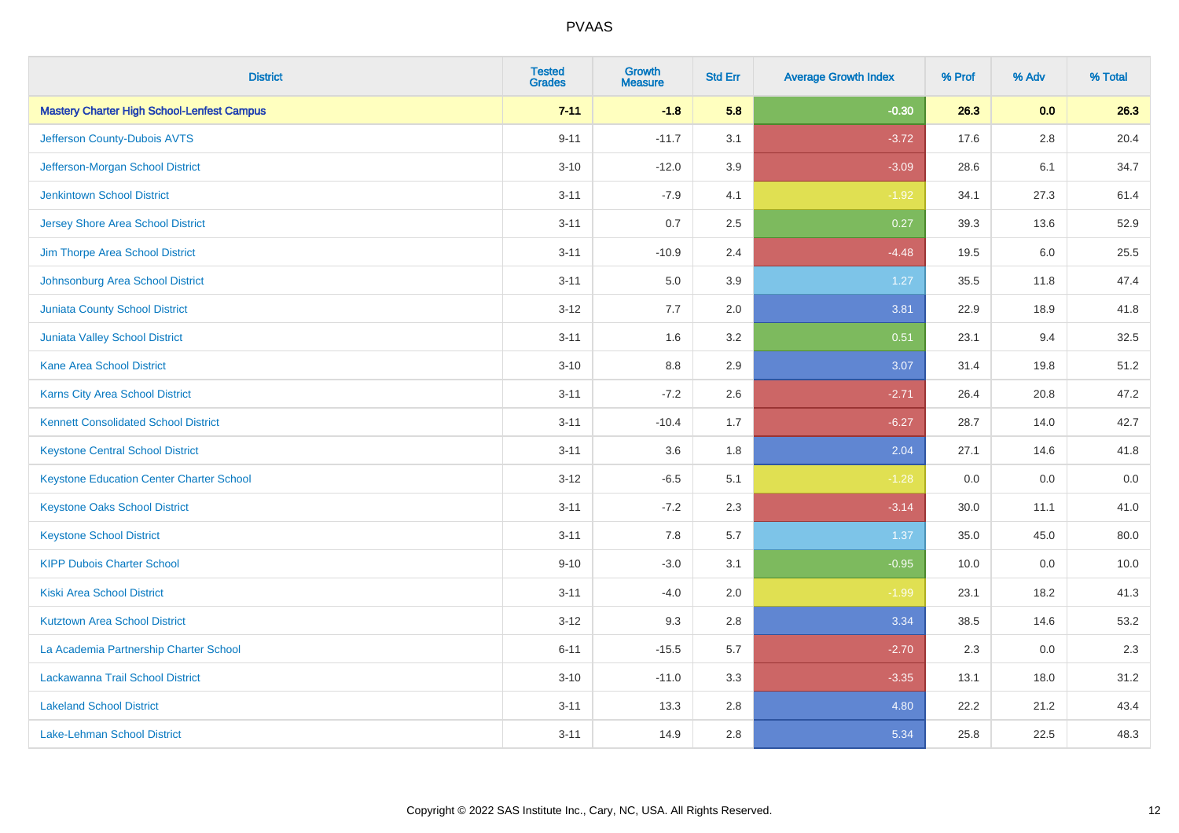| <b>District</b>                                   | <b>Tested</b><br><b>Grades</b> | Growth<br><b>Measure</b> | <b>Std Err</b> | <b>Average Growth Index</b> | % Prof | % Adv   | % Total |
|---------------------------------------------------|--------------------------------|--------------------------|----------------|-----------------------------|--------|---------|---------|
| <b>Mastery Charter High School-Lenfest Campus</b> | $7 - 11$                       | $-1.8$                   | 5.8            | $-0.30$                     | 26.3   | 0.0     | 26.3    |
| Jefferson County-Dubois AVTS                      | $9 - 11$                       | $-11.7$                  | 3.1            | $-3.72$                     | 17.6   | 2.8     | 20.4    |
| Jefferson-Morgan School District                  | $3 - 10$                       | $-12.0$                  | 3.9            | $-3.09$                     | 28.6   | 6.1     | 34.7    |
| <b>Jenkintown School District</b>                 | $3 - 11$                       | $-7.9$                   | 4.1            | $-1.92$                     | 34.1   | 27.3    | 61.4    |
| <b>Jersey Shore Area School District</b>          | $3 - 11$                       | 0.7                      | 2.5            | 0.27                        | 39.3   | 13.6    | 52.9    |
| Jim Thorpe Area School District                   | $3 - 11$                       | $-10.9$                  | 2.4            | $-4.48$                     | 19.5   | $6.0\,$ | 25.5    |
| Johnsonburg Area School District                  | $3 - 11$                       | 5.0                      | 3.9            | 1.27                        | 35.5   | 11.8    | 47.4    |
| <b>Juniata County School District</b>             | $3 - 12$                       | 7.7                      | 2.0            | 3.81                        | 22.9   | 18.9    | 41.8    |
| <b>Juniata Valley School District</b>             | $3 - 11$                       | 1.6                      | 3.2            | 0.51                        | 23.1   | 9.4     | 32.5    |
| <b>Kane Area School District</b>                  | $3 - 10$                       | 8.8                      | 2.9            | 3.07                        | 31.4   | 19.8    | 51.2    |
| Karns City Area School District                   | $3 - 11$                       | $-7.2$                   | 2.6            | $-2.71$                     | 26.4   | 20.8    | 47.2    |
| <b>Kennett Consolidated School District</b>       | $3 - 11$                       | $-10.4$                  | 1.7            | $-6.27$                     | 28.7   | 14.0    | 42.7    |
| <b>Keystone Central School District</b>           | $3 - 11$                       | 3.6                      | 1.8            | 2.04                        | 27.1   | 14.6    | 41.8    |
| <b>Keystone Education Center Charter School</b>   | $3 - 12$                       | $-6.5$                   | 5.1            | $-1.28$                     | 0.0    | 0.0     | $0.0\,$ |
| <b>Keystone Oaks School District</b>              | $3 - 11$                       | $-7.2$                   | 2.3            | $-3.14$                     | 30.0   | 11.1    | 41.0    |
| <b>Keystone School District</b>                   | $3 - 11$                       | 7.8                      | 5.7            | 1.37                        | 35.0   | 45.0    | 80.0    |
| <b>KIPP Dubois Charter School</b>                 | $9 - 10$                       | $-3.0$                   | 3.1            | $-0.95$                     | 10.0   | 0.0     | 10.0    |
| <b>Kiski Area School District</b>                 | $3 - 11$                       | $-4.0$                   | 2.0            | $-1.99$                     | 23.1   | 18.2    | 41.3    |
| <b>Kutztown Area School District</b>              | $3 - 12$                       | 9.3                      | 2.8            | 3.34                        | 38.5   | 14.6    | 53.2    |
| La Academia Partnership Charter School            | $6 - 11$                       | $-15.5$                  | 5.7            | $-2.70$                     | 2.3    | 0.0     | 2.3     |
| Lackawanna Trail School District                  | $3 - 10$                       | $-11.0$                  | 3.3            | $-3.35$                     | 13.1   | 18.0    | 31.2    |
| <b>Lakeland School District</b>                   | $3 - 11$                       | 13.3                     | 2.8            | 4.80                        | 22.2   | 21.2    | 43.4    |
| Lake-Lehman School District                       | $3 - 11$                       | 14.9                     | 2.8            | 5.34                        | 25.8   | 22.5    | 48.3    |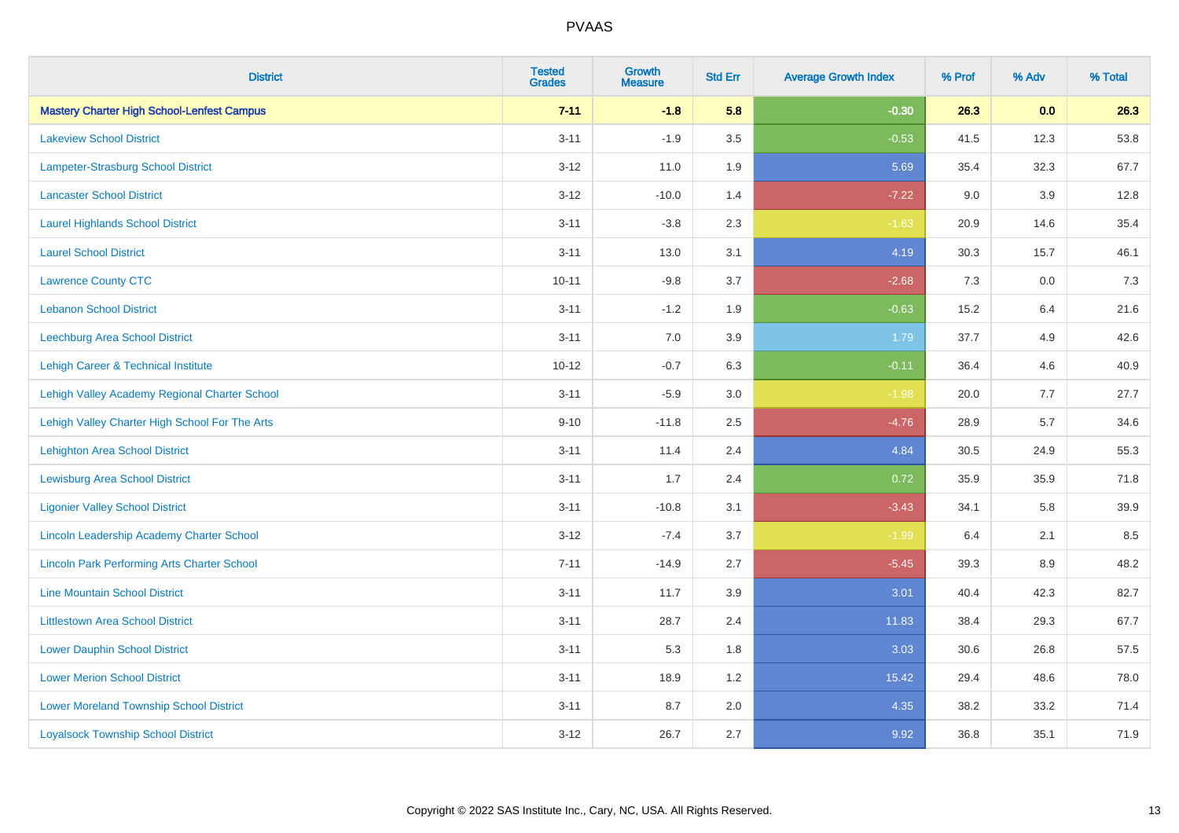| <b>District</b>                                    | <b>Tested</b><br><b>Grades</b> | <b>Growth</b><br><b>Measure</b> | <b>Std Err</b> | <b>Average Growth Index</b> | % Prof | % Adv   | % Total |
|----------------------------------------------------|--------------------------------|---------------------------------|----------------|-----------------------------|--------|---------|---------|
| <b>Mastery Charter High School-Lenfest Campus</b>  | $7 - 11$                       | $-1.8$                          | 5.8            | $-0.30$                     | 26.3   | 0.0     | 26.3    |
| <b>Lakeview School District</b>                    | $3 - 11$                       | $-1.9$                          | 3.5            | $-0.53$                     | 41.5   | 12.3    | 53.8    |
| <b>Lampeter-Strasburg School District</b>          | $3 - 12$                       | 11.0                            | 1.9            | 5.69                        | 35.4   | 32.3    | 67.7    |
| <b>Lancaster School District</b>                   | $3 - 12$                       | $-10.0$                         | 1.4            | $-7.22$                     | 9.0    | 3.9     | 12.8    |
| <b>Laurel Highlands School District</b>            | $3 - 11$                       | $-3.8$                          | 2.3            | $-1.63$                     | 20.9   | 14.6    | 35.4    |
| <b>Laurel School District</b>                      | $3 - 11$                       | 13.0                            | 3.1            | 4.19                        | 30.3   | 15.7    | 46.1    |
| <b>Lawrence County CTC</b>                         | $10 - 11$                      | $-9.8$                          | 3.7            | $-2.68$                     | 7.3    | 0.0     | $7.3$   |
| <b>Lebanon School District</b>                     | $3 - 11$                       | $-1.2$                          | 1.9            | $-0.63$                     | 15.2   | 6.4     | 21.6    |
| Leechburg Area School District                     | $3 - 11$                       | 7.0                             | 3.9            | 1.79                        | 37.7   | 4.9     | 42.6    |
| Lehigh Career & Technical Institute                | $10 - 12$                      | $-0.7$                          | 6.3            | $-0.11$                     | 36.4   | 4.6     | 40.9    |
| Lehigh Valley Academy Regional Charter School      | $3 - 11$                       | $-5.9$                          | 3.0            | $-1.98$                     | 20.0   | 7.7     | 27.7    |
| Lehigh Valley Charter High School For The Arts     | $9 - 10$                       | $-11.8$                         | 2.5            | $-4.76$                     | 28.9   | 5.7     | 34.6    |
| <b>Lehighton Area School District</b>              | $3 - 11$                       | 11.4                            | 2.4            | 4.84                        | 30.5   | 24.9    | 55.3    |
| <b>Lewisburg Area School District</b>              | $3 - 11$                       | 1.7                             | 2.4            | 0.72                        | 35.9   | 35.9    | 71.8    |
| <b>Ligonier Valley School District</b>             | $3 - 11$                       | $-10.8$                         | 3.1            | $-3.43$                     | 34.1   | 5.8     | 39.9    |
| Lincoln Leadership Academy Charter School          | $3 - 12$                       | $-7.4$                          | 3.7            | $-1.99$                     | 6.4    | 2.1     | 8.5     |
| <b>Lincoln Park Performing Arts Charter School</b> | $7 - 11$                       | $-14.9$                         | 2.7            | $-5.45$                     | 39.3   | $8.9\,$ | 48.2    |
| <b>Line Mountain School District</b>               | $3 - 11$                       | 11.7                            | 3.9            | 3.01                        | 40.4   | 42.3    | 82.7    |
| <b>Littlestown Area School District</b>            | $3 - 11$                       | 28.7                            | 2.4            | 11.83                       | 38.4   | 29.3    | 67.7    |
| <b>Lower Dauphin School District</b>               | $3 - 11$                       | 5.3                             | 1.8            | 3.03                        | 30.6   | 26.8    | 57.5    |
| <b>Lower Merion School District</b>                | $3 - 11$                       | 18.9                            | 1.2            | 15.42                       | 29.4   | 48.6    | 78.0    |
| <b>Lower Moreland Township School District</b>     | $3 - 11$                       | 8.7                             | 2.0            | 4.35                        | 38.2   | 33.2    | 71.4    |
| <b>Loyalsock Township School District</b>          | $3 - 12$                       | 26.7                            | 2.7            | 9.92                        | 36.8   | 35.1    | 71.9    |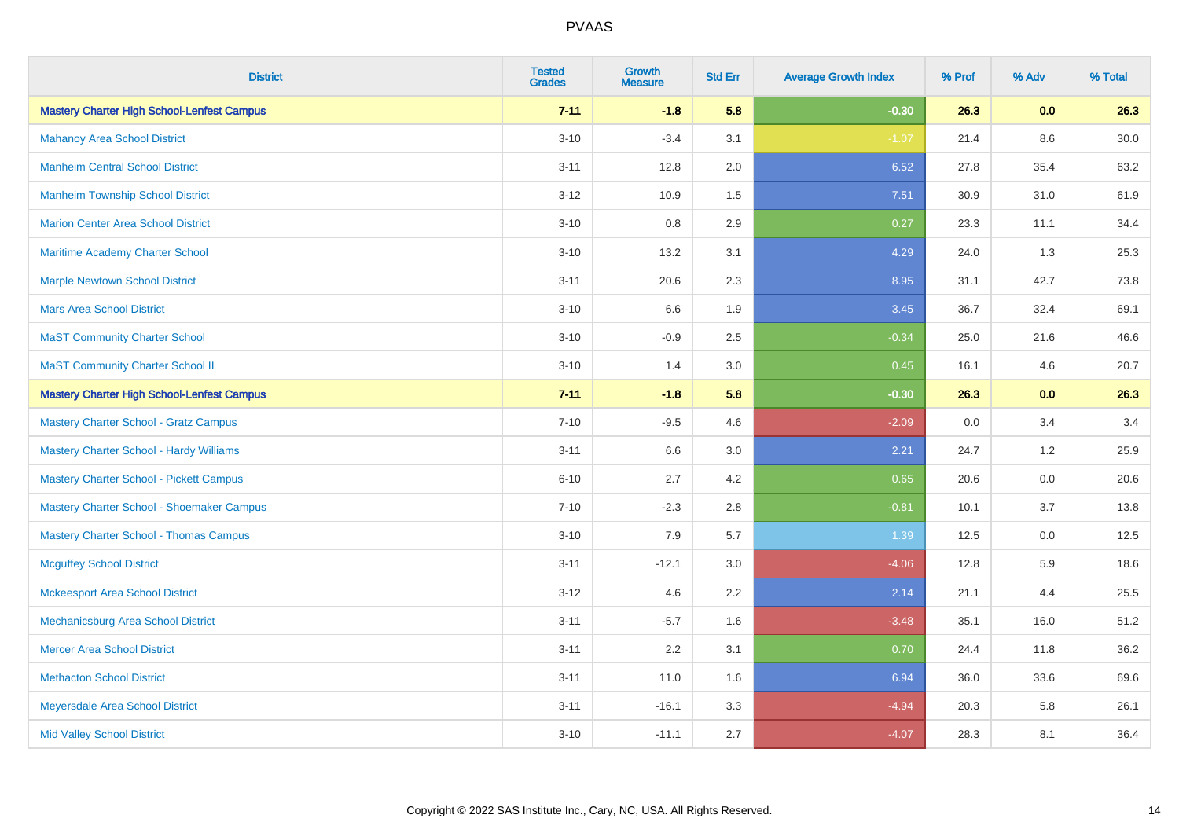| <b>District</b>                                   | <b>Tested</b><br><b>Grades</b> | <b>Growth</b><br><b>Measure</b> | <b>Std Err</b> | <b>Average Growth Index</b> | % Prof | % Adv   | % Total  |
|---------------------------------------------------|--------------------------------|---------------------------------|----------------|-----------------------------|--------|---------|----------|
| <b>Mastery Charter High School-Lenfest Campus</b> | $7 - 11$                       | $-1.8$                          | 5.8            | $-0.30$                     | 26.3   | 0.0     | 26.3     |
| <b>Mahanoy Area School District</b>               | $3 - 10$                       | $-3.4$                          | 3.1            | $-1.07$                     | 21.4   | $8.6\,$ | $30.0\,$ |
| <b>Manheim Central School District</b>            | $3 - 11$                       | 12.8                            | 2.0            | 6.52                        | 27.8   | 35.4    | 63.2     |
| <b>Manheim Township School District</b>           | $3 - 12$                       | 10.9                            | 1.5            | 7.51                        | 30.9   | 31.0    | 61.9     |
| <b>Marion Center Area School District</b>         | $3 - 10$                       | 0.8                             | 2.9            | 0.27                        | 23.3   | 11.1    | 34.4     |
| Maritime Academy Charter School                   | $3 - 10$                       | 13.2                            | 3.1            | 4.29                        | 24.0   | 1.3     | 25.3     |
| <b>Marple Newtown School District</b>             | $3 - 11$                       | 20.6                            | 2.3            | 8.95                        | 31.1   | 42.7    | 73.8     |
| <b>Mars Area School District</b>                  | $3 - 10$                       | 6.6                             | 1.9            | 3.45                        | 36.7   | 32.4    | 69.1     |
| <b>MaST Community Charter School</b>              | $3 - 10$                       | $-0.9$                          | 2.5            | $-0.34$                     | 25.0   | 21.6    | 46.6     |
| <b>MaST Community Charter School II</b>           | $3 - 10$                       | 1.4                             | 3.0            | 0.45                        | 16.1   | 4.6     | 20.7     |
| <b>Mastery Charter High School-Lenfest Campus</b> | $7 - 11$                       | $-1.8$                          | 5.8            | $-0.30$                     | 26.3   | 0.0     | 26.3     |
| <b>Mastery Charter School - Gratz Campus</b>      | $7 - 10$                       | $-9.5$                          | 4.6            | $-2.09$                     | 0.0    | 3.4     | 3.4      |
| Mastery Charter School - Hardy Williams           | $3 - 11$                       | 6.6                             | 3.0            | 2.21                        | 24.7   | 1.2     | 25.9     |
| <b>Mastery Charter School - Pickett Campus</b>    | $6 - 10$                       | 2.7                             | 4.2            | 0.65                        | 20.6   | 0.0     | 20.6     |
| Mastery Charter School - Shoemaker Campus         | $7 - 10$                       | $-2.3$                          | 2.8            | $-0.81$                     | 10.1   | 3.7     | 13.8     |
| <b>Mastery Charter School - Thomas Campus</b>     | $3 - 10$                       | 7.9                             | 5.7            | 1.39                        | 12.5   | $0.0\,$ | 12.5     |
| <b>Mcguffey School District</b>                   | $3 - 11$                       | $-12.1$                         | 3.0            | $-4.06$                     | 12.8   | 5.9     | 18.6     |
| <b>Mckeesport Area School District</b>            | $3 - 12$                       | 4.6                             | 2.2            | 2.14                        | 21.1   | 4.4     | 25.5     |
| Mechanicsburg Area School District                | $3 - 11$                       | $-5.7$                          | 1.6            | $-3.48$                     | 35.1   | 16.0    | 51.2     |
| <b>Mercer Area School District</b>                | $3 - 11$                       | 2.2                             | 3.1            | 0.70                        | 24.4   | 11.8    | 36.2     |
| <b>Methacton School District</b>                  | $3 - 11$                       | 11.0                            | 1.6            | 6.94                        | 36.0   | 33.6    | 69.6     |
| Meyersdale Area School District                   | $3 - 11$                       | $-16.1$                         | 3.3            | $-4.94$                     | 20.3   | 5.8     | 26.1     |
| <b>Mid Valley School District</b>                 | $3 - 10$                       | $-11.1$                         | 2.7            | $-4.07$                     | 28.3   | 8.1     | 36.4     |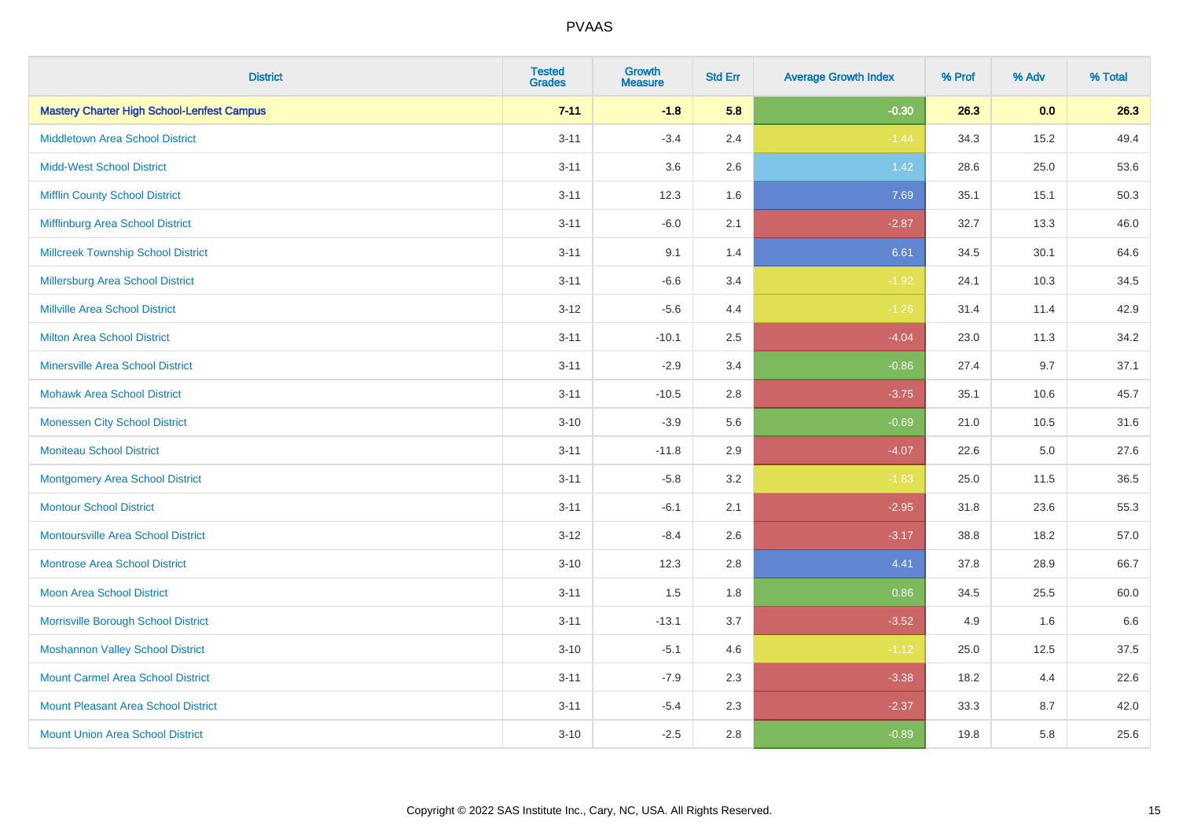| <b>District</b>                                   | <b>Tested</b><br><b>Grades</b> | Growth<br><b>Measure</b> | <b>Std Err</b> | <b>Average Growth Index</b> | % Prof | % Adv   | % Total |
|---------------------------------------------------|--------------------------------|--------------------------|----------------|-----------------------------|--------|---------|---------|
| <b>Mastery Charter High School-Lenfest Campus</b> | $7 - 11$                       | $-1.8$                   | 5.8            | $-0.30$                     | 26.3   | 0.0     | 26.3    |
| <b>Middletown Area School District</b>            | $3 - 11$                       | $-3.4$                   | 2.4            | $-1.44$                     | 34.3   | 15.2    | 49.4    |
| <b>Midd-West School District</b>                  | $3 - 11$                       | 3.6                      | 2.6            | 1.42                        | 28.6   | 25.0    | 53.6    |
| <b>Mifflin County School District</b>             | $3 - 11$                       | 12.3                     | 1.6            | 7.69                        | 35.1   | 15.1    | 50.3    |
| Mifflinburg Area School District                  | $3 - 11$                       | $-6.0$                   | 2.1            | $-2.87$                     | 32.7   | 13.3    | 46.0    |
| <b>Millcreek Township School District</b>         | $3 - 11$                       | 9.1                      | 1.4            | 6.61                        | 34.5   | 30.1    | 64.6    |
| Millersburg Area School District                  | $3 - 11$                       | $-6.6$                   | 3.4            | $-1.92$                     | 24.1   | 10.3    | 34.5    |
| <b>Millville Area School District</b>             | $3 - 12$                       | $-5.6$                   | 4.4            | $-1.26$                     | 31.4   | 11.4    | 42.9    |
| <b>Milton Area School District</b>                | $3 - 11$                       | $-10.1$                  | 2.5            | $-4.04$                     | 23.0   | 11.3    | 34.2    |
| <b>Minersville Area School District</b>           | $3 - 11$                       | $-2.9$                   | 3.4            | $-0.86$                     | 27.4   | 9.7     | 37.1    |
| <b>Mohawk Area School District</b>                | $3 - 11$                       | $-10.5$                  | 2.8            | $-3.75$                     | 35.1   | 10.6    | 45.7    |
| <b>Monessen City School District</b>              | $3 - 10$                       | $-3.9$                   | 5.6            | $-0.69$                     | 21.0   | 10.5    | 31.6    |
| <b>Moniteau School District</b>                   | $3 - 11$                       | $-11.8$                  | 2.9            | $-4.07$                     | 22.6   | $5.0\,$ | 27.6    |
| <b>Montgomery Area School District</b>            | $3 - 11$                       | $-5.8$                   | 3.2            | $-1.83$                     | 25.0   | 11.5    | 36.5    |
| <b>Montour School District</b>                    | $3 - 11$                       | $-6.1$                   | 2.1            | $-2.95$                     | 31.8   | 23.6    | 55.3    |
| <b>Montoursville Area School District</b>         | $3 - 12$                       | $-8.4$                   | 2.6            | $-3.17$                     | 38.8   | 18.2    | 57.0    |
| <b>Montrose Area School District</b>              | $3 - 10$                       | 12.3                     | 2.8            | 4.41                        | 37.8   | 28.9    | 66.7    |
| Moon Area School District                         | $3 - 11$                       | 1.5                      | 1.8            | 0.86                        | 34.5   | 25.5    | 60.0    |
| Morrisville Borough School District               | $3 - 11$                       | $-13.1$                  | 3.7            | $-3.52$                     | 4.9    | 1.6     | 6.6     |
| <b>Moshannon Valley School District</b>           | $3 - 10$                       | $-5.1$                   | 4.6            | $-1.12$                     | 25.0   | 12.5    | 37.5    |
| <b>Mount Carmel Area School District</b>          | $3 - 11$                       | $-7.9$                   | 2.3            | $-3.38$                     | 18.2   | 4.4     | 22.6    |
| <b>Mount Pleasant Area School District</b>        | $3 - 11$                       | $-5.4$                   | 2.3            | $-2.37$                     | 33.3   | 8.7     | 42.0    |
| <b>Mount Union Area School District</b>           | $3 - 10$                       | $-2.5$                   | 2.8            | $-0.89$                     | 19.8   | 5.8     | 25.6    |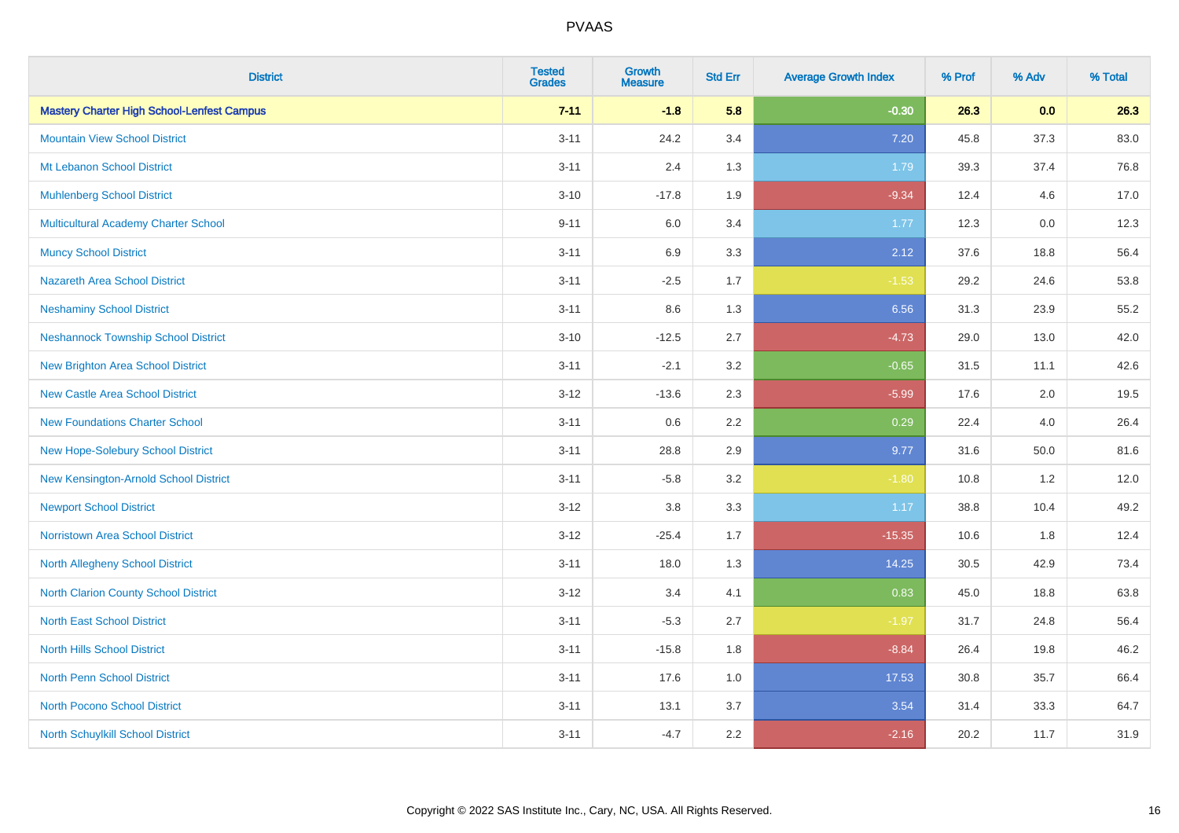| <b>District</b>                                   | <b>Tested</b><br><b>Grades</b> | <b>Growth</b><br><b>Measure</b> | <b>Std Err</b> | <b>Average Growth Index</b> | % Prof | % Adv | % Total |
|---------------------------------------------------|--------------------------------|---------------------------------|----------------|-----------------------------|--------|-------|---------|
| <b>Mastery Charter High School-Lenfest Campus</b> | $7 - 11$                       | $-1.8$                          | 5.8            | $-0.30$                     | 26.3   | 0.0   | 26.3    |
| <b>Mountain View School District</b>              | $3 - 11$                       | 24.2                            | 3.4            | 7.20                        | 45.8   | 37.3  | 83.0    |
| Mt Lebanon School District                        | $3 - 11$                       | 2.4                             | 1.3            | 1.79                        | 39.3   | 37.4  | 76.8    |
| <b>Muhlenberg School District</b>                 | $3 - 10$                       | $-17.8$                         | 1.9            | $-9.34$                     | 12.4   | 4.6   | 17.0    |
| <b>Multicultural Academy Charter School</b>       | $9 - 11$                       | 6.0                             | 3.4            | 1.77                        | 12.3   | 0.0   | 12.3    |
| <b>Muncy School District</b>                      | $3 - 11$                       | 6.9                             | 3.3            | 2.12                        | 37.6   | 18.8  | 56.4    |
| <b>Nazareth Area School District</b>              | $3 - 11$                       | $-2.5$                          | 1.7            | $-1.53$                     | 29.2   | 24.6  | 53.8    |
| <b>Neshaminy School District</b>                  | $3 - 11$                       | $8.6\,$                         | 1.3            | 6.56                        | 31.3   | 23.9  | 55.2    |
| <b>Neshannock Township School District</b>        | $3 - 10$                       | $-12.5$                         | 2.7            | $-4.73$                     | 29.0   | 13.0  | 42.0    |
| <b>New Brighton Area School District</b>          | $3 - 11$                       | $-2.1$                          | 3.2            | $-0.65$                     | 31.5   | 11.1  | 42.6    |
| <b>New Castle Area School District</b>            | $3 - 12$                       | $-13.6$                         | 2.3            | $-5.99$                     | 17.6   | 2.0   | 19.5    |
| <b>New Foundations Charter School</b>             | $3 - 11$                       | $0.6\,$                         | 2.2            | 0.29                        | 22.4   | 4.0   | 26.4    |
| New Hope-Solebury School District                 | $3 - 11$                       | 28.8                            | 2.9            | 9.77                        | 31.6   | 50.0  | 81.6    |
| New Kensington-Arnold School District             | $3 - 11$                       | $-5.8$                          | 3.2            | $-1.80$                     | 10.8   | 1.2   | 12.0    |
| <b>Newport School District</b>                    | $3 - 12$                       | $3.8\,$                         | 3.3            | 1.17                        | 38.8   | 10.4  | 49.2    |
| <b>Norristown Area School District</b>            | $3 - 12$                       | $-25.4$                         | 1.7            | $-15.35$                    | 10.6   | 1.8   | 12.4    |
| <b>North Allegheny School District</b>            | $3 - 11$                       | 18.0                            | 1.3            | 14.25                       | 30.5   | 42.9  | 73.4    |
| <b>North Clarion County School District</b>       | $3 - 12$                       | 3.4                             | 4.1            | 0.83                        | 45.0   | 18.8  | 63.8    |
| <b>North East School District</b>                 | $3 - 11$                       | $-5.3$                          | 2.7            | $-1.97$                     | 31.7   | 24.8  | 56.4    |
| <b>North Hills School District</b>                | $3 - 11$                       | $-15.8$                         | 1.8            | $-8.84$                     | 26.4   | 19.8  | 46.2    |
| <b>North Penn School District</b>                 | $3 - 11$                       | 17.6                            | 1.0            | 17.53                       | 30.8   | 35.7  | 66.4    |
| <b>North Pocono School District</b>               | $3 - 11$                       | 13.1                            | 3.7            | 3.54                        | 31.4   | 33.3  | 64.7    |
| North Schuylkill School District                  | $3 - 11$                       | $-4.7$                          | 2.2            | $-2.16$                     | 20.2   | 11.7  | 31.9    |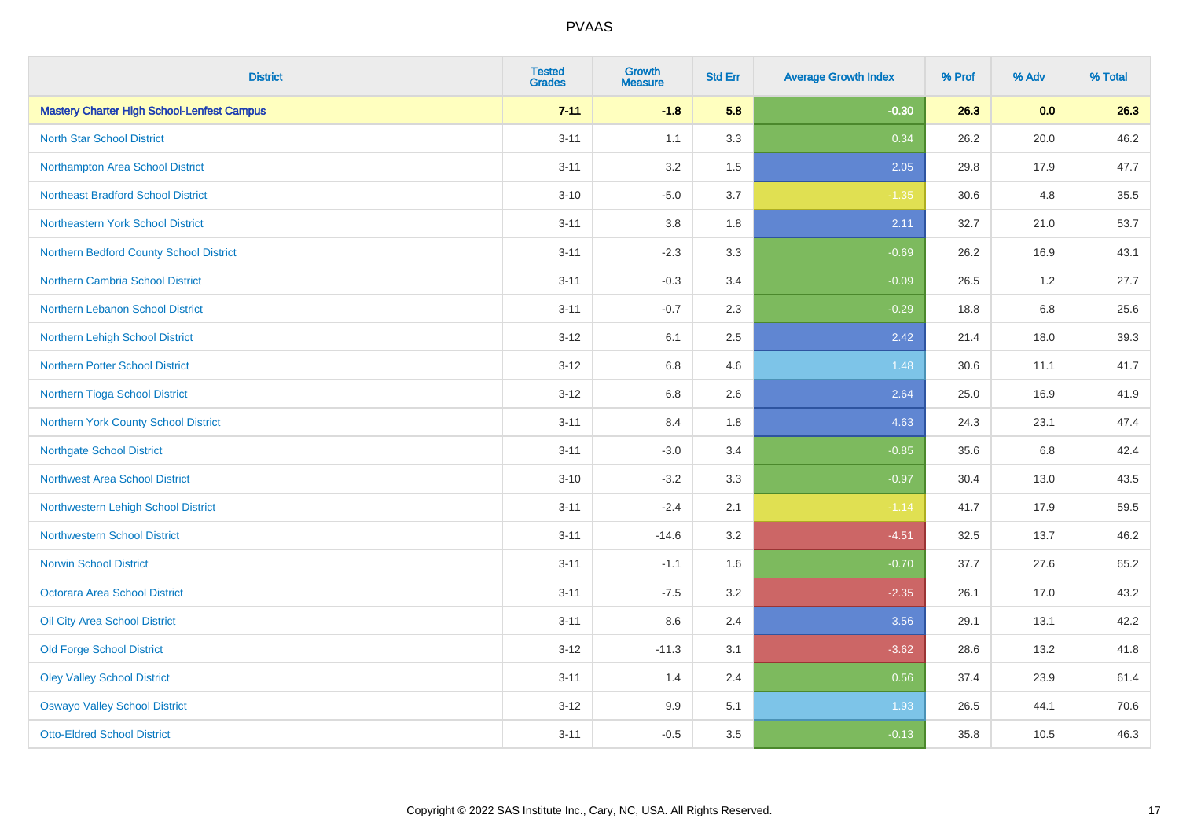| <b>District</b>                                   | <b>Tested</b><br><b>Grades</b> | Growth<br><b>Measure</b> | <b>Std Err</b> | <b>Average Growth Index</b> | % Prof | % Adv | % Total |
|---------------------------------------------------|--------------------------------|--------------------------|----------------|-----------------------------|--------|-------|---------|
| <b>Mastery Charter High School-Lenfest Campus</b> | $7 - 11$                       | $-1.8$                   | 5.8            | $-0.30$                     | 26.3   | 0.0   | 26.3    |
| <b>North Star School District</b>                 | $3 - 11$                       | 1.1                      | 3.3            | 0.34                        | 26.2   | 20.0  | 46.2    |
| Northampton Area School District                  | $3 - 11$                       | 3.2                      | 1.5            | 2.05                        | 29.8   | 17.9  | 47.7    |
| <b>Northeast Bradford School District</b>         | $3 - 10$                       | $-5.0$                   | 3.7            | $-1.35$                     | 30.6   | 4.8   | 35.5    |
| Northeastern York School District                 | $3 - 11$                       | 3.8                      | 1.8            | 2.11                        | 32.7   | 21.0  | 53.7    |
| Northern Bedford County School District           | $3 - 11$                       | $-2.3$                   | 3.3            | $-0.69$                     | 26.2   | 16.9  | 43.1    |
| Northern Cambria School District                  | $3 - 11$                       | $-0.3$                   | 3.4            | $-0.09$                     | 26.5   | 1.2   | 27.7    |
| <b>Northern Lebanon School District</b>           | $3 - 11$                       | $-0.7$                   | 2.3            | $-0.29$                     | 18.8   | 6.8   | 25.6    |
| Northern Lehigh School District                   | $3 - 12$                       | 6.1                      | 2.5            | 2.42                        | 21.4   | 18.0  | 39.3    |
| <b>Northern Potter School District</b>            | $3 - 12$                       | $6.8\,$                  | 4.6            | 1.48                        | 30.6   | 11.1  | 41.7    |
| Northern Tioga School District                    | $3 - 12$                       | 6.8                      | 2.6            | 2.64                        | 25.0   | 16.9  | 41.9    |
| <b>Northern York County School District</b>       | $3 - 11$                       | 8.4                      | 1.8            | 4.63                        | 24.3   | 23.1  | 47.4    |
| <b>Northgate School District</b>                  | $3 - 11$                       | $-3.0$                   | 3.4            | $-0.85$                     | 35.6   | 6.8   | 42.4    |
| <b>Northwest Area School District</b>             | $3 - 10$                       | $-3.2$                   | 3.3            | $-0.97$                     | 30.4   | 13.0  | 43.5    |
| Northwestern Lehigh School District               | $3 - 11$                       | $-2.4$                   | 2.1            | $-1.14$                     | 41.7   | 17.9  | 59.5    |
| <b>Northwestern School District</b>               | $3 - 11$                       | $-14.6$                  | 3.2            | $-4.51$                     | 32.5   | 13.7  | 46.2    |
| <b>Norwin School District</b>                     | $3 - 11$                       | $-1.1$                   | 1.6            | $-0.70$                     | 37.7   | 27.6  | 65.2    |
| <b>Octorara Area School District</b>              | $3 - 11$                       | $-7.5$                   | 3.2            | $-2.35$                     | 26.1   | 17.0  | 43.2    |
| Oil City Area School District                     | $3 - 11$                       | 8.6                      | 2.4            | 3.56                        | 29.1   | 13.1  | 42.2    |
| <b>Old Forge School District</b>                  | $3 - 12$                       | $-11.3$                  | 3.1            | $-3.62$                     | 28.6   | 13.2  | 41.8    |
| <b>Oley Valley School District</b>                | $3 - 11$                       | 1.4                      | 2.4            | 0.56                        | 37.4   | 23.9  | 61.4    |
| <b>Oswayo Valley School District</b>              | $3 - 12$                       | 9.9                      | 5.1            | 1.93                        | 26.5   | 44.1  | 70.6    |
| <b>Otto-Eldred School District</b>                | $3 - 11$                       | $-0.5$                   | 3.5            | $-0.13$                     | 35.8   | 10.5  | 46.3    |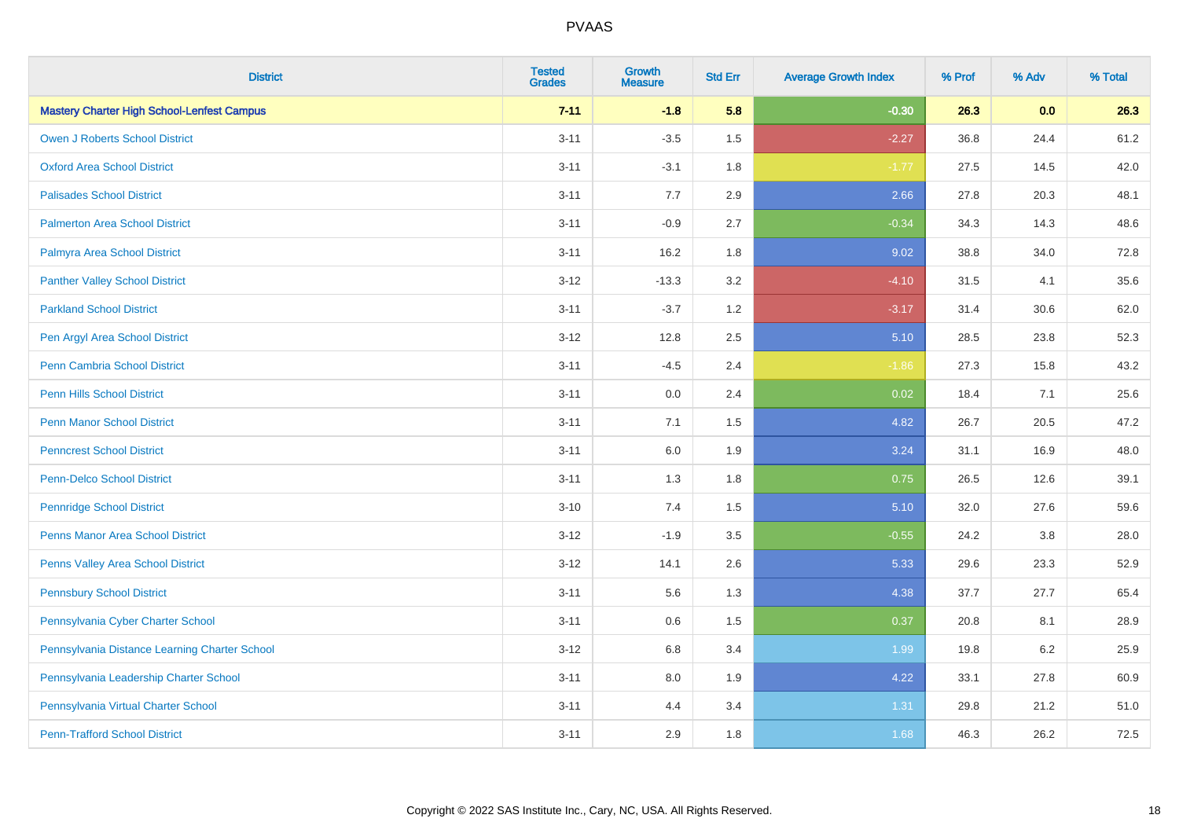| <b>District</b>                                   | <b>Tested</b><br><b>Grades</b> | Growth<br><b>Measure</b> | <b>Std Err</b> | <b>Average Growth Index</b> | % Prof | % Adv   | % Total |
|---------------------------------------------------|--------------------------------|--------------------------|----------------|-----------------------------|--------|---------|---------|
| <b>Mastery Charter High School-Lenfest Campus</b> | $7 - 11$                       | $-1.8$                   | 5.8            | $-0.30$                     | 26.3   | 0.0     | 26.3    |
| <b>Owen J Roberts School District</b>             | $3 - 11$                       | $-3.5$                   | 1.5            | $-2.27$                     | 36.8   | 24.4    | 61.2    |
| <b>Oxford Area School District</b>                | $3 - 11$                       | $-3.1$                   | 1.8            | $-1.77$                     | 27.5   | 14.5    | 42.0    |
| <b>Palisades School District</b>                  | $3 - 11$                       | 7.7                      | 2.9            | 2.66                        | 27.8   | 20.3    | 48.1    |
| <b>Palmerton Area School District</b>             | $3 - 11$                       | $-0.9$                   | 2.7            | $-0.34$                     | 34.3   | 14.3    | 48.6    |
| Palmyra Area School District                      | $3 - 11$                       | 16.2                     | 1.8            | 9.02                        | 38.8   | 34.0    | 72.8    |
| <b>Panther Valley School District</b>             | $3 - 12$                       | $-13.3$                  | 3.2            | $-4.10$                     | 31.5   | 4.1     | 35.6    |
| <b>Parkland School District</b>                   | $3 - 11$                       | $-3.7$                   | 1.2            | $-3.17$                     | 31.4   | 30.6    | 62.0    |
| Pen Argyl Area School District                    | $3 - 12$                       | 12.8                     | 2.5            | 5.10                        | 28.5   | 23.8    | 52.3    |
| <b>Penn Cambria School District</b>               | $3 - 11$                       | $-4.5$                   | 2.4            | $-1.86$                     | 27.3   | 15.8    | 43.2    |
| <b>Penn Hills School District</b>                 | $3 - 11$                       | 0.0                      | 2.4            | 0.02                        | 18.4   | 7.1     | 25.6    |
| <b>Penn Manor School District</b>                 | $3 - 11$                       | 7.1                      | 1.5            | 4.82                        | 26.7   | 20.5    | 47.2    |
| <b>Penncrest School District</b>                  | $3 - 11$                       | $6.0\,$                  | 1.9            | 3.24                        | 31.1   | 16.9    | 48.0    |
| <b>Penn-Delco School District</b>                 | $3 - 11$                       | 1.3                      | 1.8            | 0.75                        | 26.5   | 12.6    | 39.1    |
| <b>Pennridge School District</b>                  | $3 - 10$                       | 7.4                      | 1.5            | 5.10                        | 32.0   | 27.6    | 59.6    |
| <b>Penns Manor Area School District</b>           | $3 - 12$                       | $-1.9$                   | 3.5            | $-0.55$                     | 24.2   | $3.8\,$ | 28.0    |
| <b>Penns Valley Area School District</b>          | $3 - 12$                       | 14.1                     | 2.6            | 5.33                        | 29.6   | 23.3    | 52.9    |
| <b>Pennsbury School District</b>                  | $3 - 11$                       | 5.6                      | 1.3            | 4.38                        | 37.7   | 27.7    | 65.4    |
| Pennsylvania Cyber Charter School                 | $3 - 11$                       | 0.6                      | 1.5            | 0.37                        | 20.8   | 8.1     | 28.9    |
| Pennsylvania Distance Learning Charter School     | $3 - 12$                       | 6.8                      | 3.4            | 1.99                        | 19.8   | 6.2     | 25.9    |
| Pennsylvania Leadership Charter School            | $3 - 11$                       | 8.0                      | 1.9            | 4.22                        | 33.1   | 27.8    | 60.9    |
| Pennsylvania Virtual Charter School               | $3 - 11$                       | 4.4                      | 3.4            | 1.31                        | 29.8   | 21.2    | 51.0    |
| <b>Penn-Trafford School District</b>              | $3 - 11$                       | 2.9                      | 1.8            | 1.68                        | 46.3   | 26.2    | 72.5    |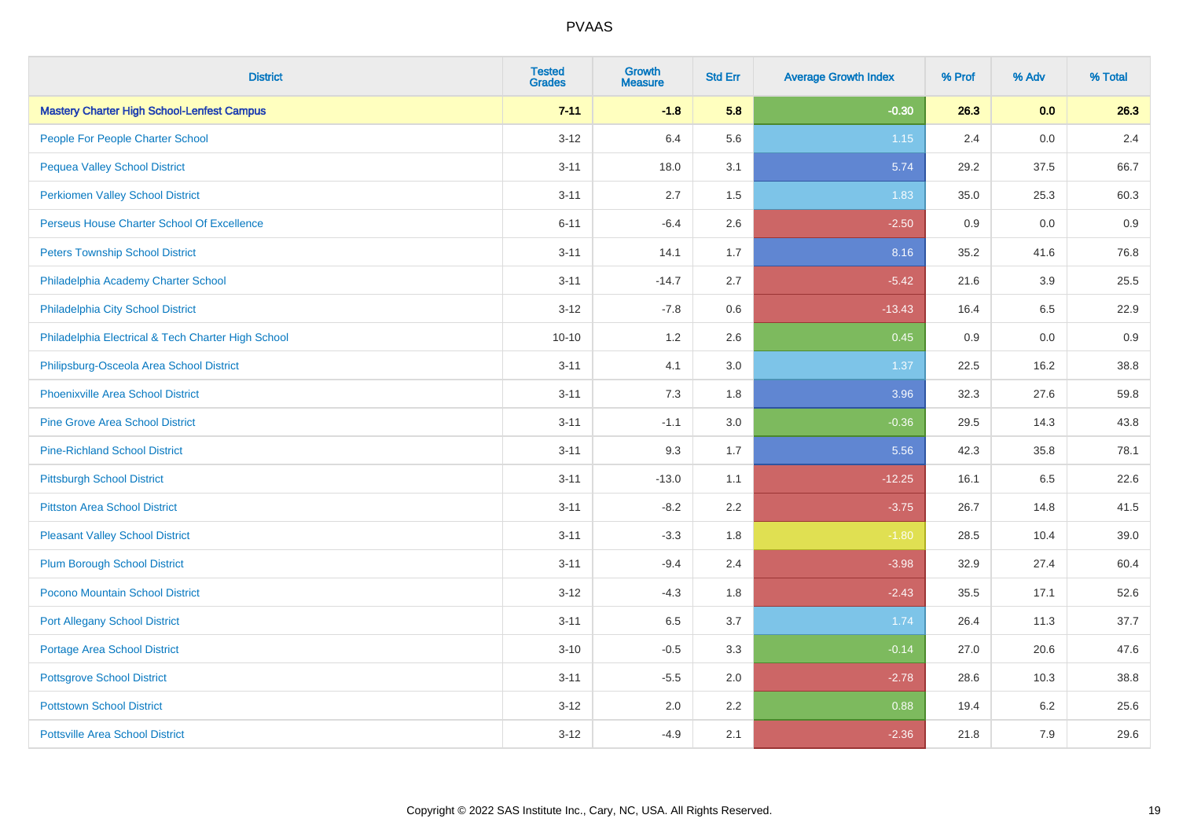| <b>District</b>                                    | <b>Tested</b><br><b>Grades</b> | <b>Growth</b><br><b>Measure</b> | <b>Std Err</b> | <b>Average Growth Index</b> | % Prof | % Adv | % Total |
|----------------------------------------------------|--------------------------------|---------------------------------|----------------|-----------------------------|--------|-------|---------|
| <b>Mastery Charter High School-Lenfest Campus</b>  | $7 - 11$                       | $-1.8$                          | 5.8            | $-0.30$                     | 26.3   | 0.0   | 26.3    |
| People For People Charter School                   | $3 - 12$                       | 6.4                             | 5.6            | 1.15                        | 2.4    | 0.0   | 2.4     |
| <b>Pequea Valley School District</b>               | $3 - 11$                       | 18.0                            | 3.1            | 5.74                        | 29.2   | 37.5  | 66.7    |
| <b>Perkiomen Valley School District</b>            | $3 - 11$                       | 2.7                             | 1.5            | 1.83                        | 35.0   | 25.3  | 60.3    |
| Perseus House Charter School Of Excellence         | $6 - 11$                       | $-6.4$                          | 2.6            | $-2.50$                     | 0.9    | 0.0   | 0.9     |
| <b>Peters Township School District</b>             | $3 - 11$                       | 14.1                            | 1.7            | 8.16                        | 35.2   | 41.6  | 76.8    |
| Philadelphia Academy Charter School                | $3 - 11$                       | $-14.7$                         | 2.7            | $-5.42$                     | 21.6   | 3.9   | 25.5    |
| Philadelphia City School District                  | $3 - 12$                       | $-7.8$                          | 0.6            | $-13.43$                    | 16.4   | 6.5   | 22.9    |
| Philadelphia Electrical & Tech Charter High School | $10 - 10$                      | 1.2                             | 2.6            | 0.45                        | 0.9    | 0.0   | 0.9     |
| Philipsburg-Osceola Area School District           | $3 - 11$                       | 4.1                             | 3.0            | 1.37                        | 22.5   | 16.2  | 38.8    |
| <b>Phoenixville Area School District</b>           | $3 - 11$                       | 7.3                             | 1.8            | 3.96                        | 32.3   | 27.6  | 59.8    |
| <b>Pine Grove Area School District</b>             | $3 - 11$                       | $-1.1$                          | 3.0            | $-0.36$                     | 29.5   | 14.3  | 43.8    |
| <b>Pine-Richland School District</b>               | $3 - 11$                       | 9.3                             | 1.7            | 5.56                        | 42.3   | 35.8  | 78.1    |
| <b>Pittsburgh School District</b>                  | $3 - 11$                       | $-13.0$                         | 1.1            | $-12.25$                    | 16.1   | 6.5   | 22.6    |
| <b>Pittston Area School District</b>               | $3 - 11$                       | $-8.2$                          | 2.2            | $-3.75$                     | 26.7   | 14.8  | 41.5    |
| <b>Pleasant Valley School District</b>             | $3 - 11$                       | $-3.3$                          | 1.8            | $-1.80$                     | 28.5   | 10.4  | 39.0    |
| <b>Plum Borough School District</b>                | $3 - 11$                       | $-9.4$                          | 2.4            | $-3.98$                     | 32.9   | 27.4  | 60.4    |
| Pocono Mountain School District                    | $3 - 12$                       | $-4.3$                          | 1.8            | $-2.43$                     | 35.5   | 17.1  | 52.6    |
| <b>Port Allegany School District</b>               | $3 - 11$                       | 6.5                             | 3.7            | 1.74                        | 26.4   | 11.3  | 37.7    |
| <b>Portage Area School District</b>                | $3 - 10$                       | $-0.5$                          | 3.3            | $-0.14$                     | 27.0   | 20.6  | 47.6    |
| <b>Pottsgrove School District</b>                  | $3 - 11$                       | $-5.5$                          | 2.0            | $-2.78$                     | 28.6   | 10.3  | 38.8    |
| <b>Pottstown School District</b>                   | $3 - 12$                       | 2.0                             | 2.2            | 0.88                        | 19.4   | 6.2   | 25.6    |
| <b>Pottsville Area School District</b>             | $3 - 12$                       | $-4.9$                          | 2.1            | $-2.36$                     | 21.8   | 7.9   | 29.6    |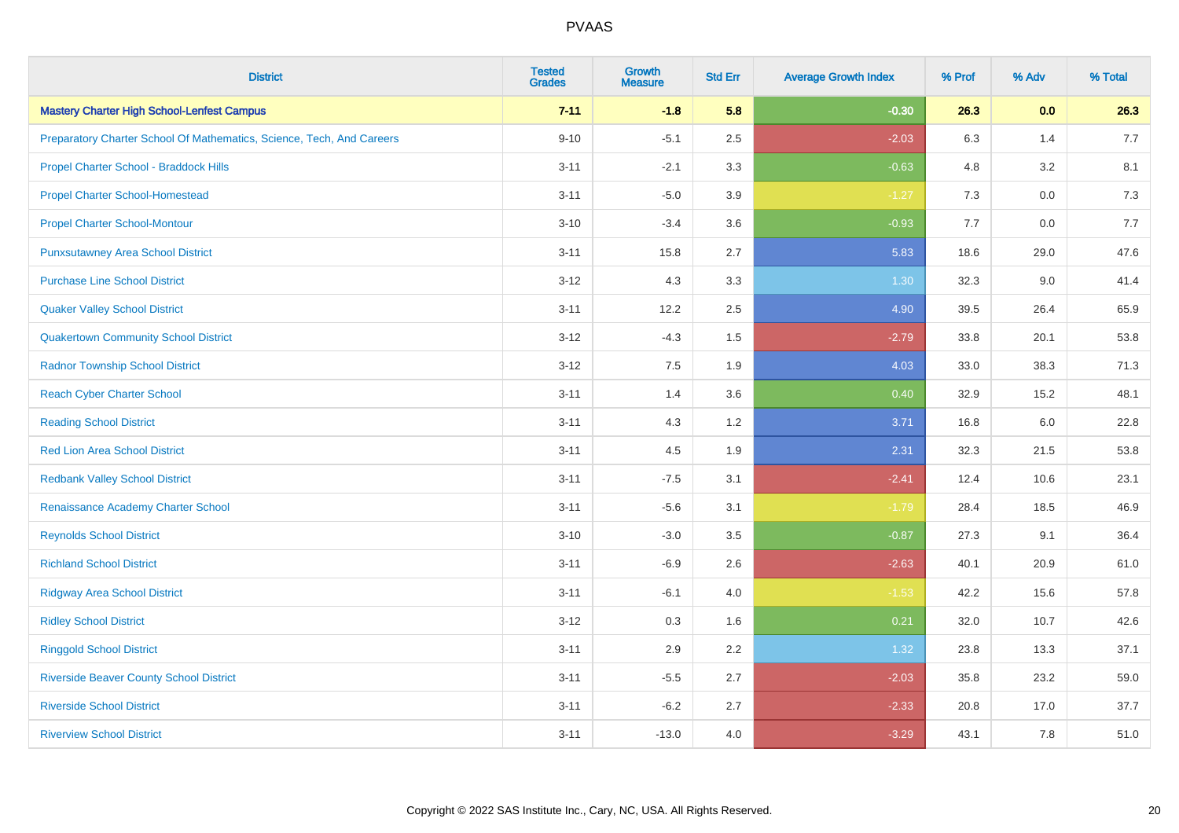| <b>District</b>                                                       | <b>Tested</b><br><b>Grades</b> | <b>Growth</b><br><b>Measure</b> | <b>Std Err</b> | <b>Average Growth Index</b> | % Prof | % Adv   | % Total |
|-----------------------------------------------------------------------|--------------------------------|---------------------------------|----------------|-----------------------------|--------|---------|---------|
| <b>Mastery Charter High School-Lenfest Campus</b>                     | $7 - 11$                       | $-1.8$                          | 5.8            | $-0.30$                     | 26.3   | 0.0     | 26.3    |
| Preparatory Charter School Of Mathematics, Science, Tech, And Careers | $9 - 10$                       | $-5.1$                          | 2.5            | $-2.03$                     | 6.3    | 1.4     | 7.7     |
| Propel Charter School - Braddock Hills                                | $3 - 11$                       | $-2.1$                          | 3.3            | $-0.63$                     | 4.8    | 3.2     | 8.1     |
| <b>Propel Charter School-Homestead</b>                                | $3 - 11$                       | $-5.0$                          | 3.9            | $-1.27$                     | 7.3    | $0.0\,$ | 7.3     |
| <b>Propel Charter School-Montour</b>                                  | $3 - 10$                       | $-3.4$                          | 3.6            | $-0.93$                     | 7.7    | 0.0     | 7.7     |
| <b>Punxsutawney Area School District</b>                              | $3 - 11$                       | 15.8                            | 2.7            | 5.83                        | 18.6   | 29.0    | 47.6    |
| <b>Purchase Line School District</b>                                  | $3 - 12$                       | 4.3                             | 3.3            | 1.30                        | 32.3   | 9.0     | 41.4    |
| <b>Quaker Valley School District</b>                                  | $3 - 11$                       | 12.2                            | 2.5            | 4.90                        | 39.5   | 26.4    | 65.9    |
| <b>Quakertown Community School District</b>                           | $3 - 12$                       | $-4.3$                          | 1.5            | $-2.79$                     | 33.8   | 20.1    | 53.8    |
| <b>Radnor Township School District</b>                                | $3 - 12$                       | 7.5                             | 1.9            | 4.03                        | 33.0   | 38.3    | 71.3    |
| <b>Reach Cyber Charter School</b>                                     | $3 - 11$                       | 1.4                             | 3.6            | 0.40                        | 32.9   | 15.2    | 48.1    |
| <b>Reading School District</b>                                        | $3 - 11$                       | 4.3                             | 1.2            | 3.71                        | 16.8   | 6.0     | 22.8    |
| <b>Red Lion Area School District</b>                                  | $3 - 11$                       | 4.5                             | 1.9            | 2.31                        | 32.3   | 21.5    | 53.8    |
| <b>Redbank Valley School District</b>                                 | $3 - 11$                       | $-7.5$                          | 3.1            | $-2.41$                     | 12.4   | 10.6    | 23.1    |
| Renaissance Academy Charter School                                    | $3 - 11$                       | $-5.6$                          | 3.1            | $-1.79$                     | 28.4   | 18.5    | 46.9    |
| <b>Reynolds School District</b>                                       | $3 - 10$                       | $-3.0$                          | 3.5            | $-0.87$                     | 27.3   | 9.1     | 36.4    |
| <b>Richland School District</b>                                       | $3 - 11$                       | $-6.9$                          | 2.6            | $-2.63$                     | 40.1   | 20.9    | 61.0    |
| <b>Ridgway Area School District</b>                                   | $3 - 11$                       | $-6.1$                          | 4.0            | $-1.53$                     | 42.2   | 15.6    | 57.8    |
| <b>Ridley School District</b>                                         | $3 - 12$                       | 0.3                             | 1.6            | 0.21                        | 32.0   | 10.7    | 42.6    |
| <b>Ringgold School District</b>                                       | $3 - 11$                       | 2.9                             | 2.2            | 1.32                        | 23.8   | 13.3    | 37.1    |
| <b>Riverside Beaver County School District</b>                        | $3 - 11$                       | $-5.5$                          | 2.7            | $-2.03$                     | 35.8   | 23.2    | 59.0    |
| <b>Riverside School District</b>                                      | $3 - 11$                       | $-6.2$                          | 2.7            | $-2.33$                     | 20.8   | 17.0    | 37.7    |
| <b>Riverview School District</b>                                      | $3 - 11$                       | $-13.0$                         | 4.0            | $-3.29$                     | 43.1   | 7.8     | 51.0    |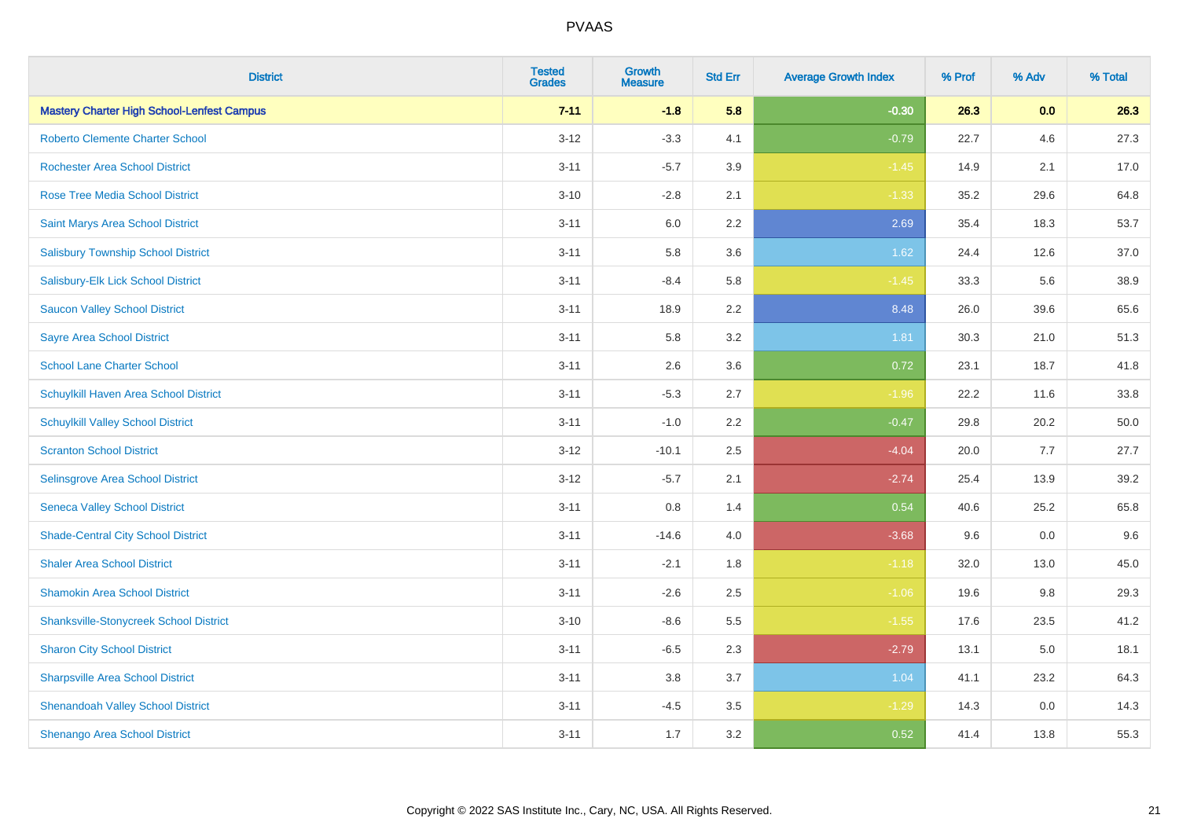| <b>District</b>                                   | <b>Tested</b><br><b>Grades</b> | <b>Growth</b><br><b>Measure</b> | <b>Std Err</b> | <b>Average Growth Index</b> | % Prof | % Adv | % Total |
|---------------------------------------------------|--------------------------------|---------------------------------|----------------|-----------------------------|--------|-------|---------|
| <b>Mastery Charter High School-Lenfest Campus</b> | $7 - 11$                       | $-1.8$                          | 5.8            | $-0.30$                     | 26.3   | 0.0   | 26.3    |
| <b>Roberto Clemente Charter School</b>            | $3 - 12$                       | $-3.3$                          | 4.1            | $-0.79$                     | 22.7   | 4.6   | 27.3    |
| <b>Rochester Area School District</b>             | $3 - 11$                       | $-5.7$                          | 3.9            | $-1.45$                     | 14.9   | 2.1   | 17.0    |
| <b>Rose Tree Media School District</b>            | $3 - 10$                       | $-2.8$                          | 2.1            | $-1.33$                     | 35.2   | 29.6  | 64.8    |
| <b>Saint Marys Area School District</b>           | $3 - 11$                       | 6.0                             | 2.2            | 2.69                        | 35.4   | 18.3  | 53.7    |
| <b>Salisbury Township School District</b>         | $3 - 11$                       | 5.8                             | 3.6            | 1.62                        | 24.4   | 12.6  | 37.0    |
| Salisbury-Elk Lick School District                | $3 - 11$                       | $-8.4$                          | 5.8            | $-1.45$                     | 33.3   | 5.6   | 38.9    |
| <b>Saucon Valley School District</b>              | $3 - 11$                       | 18.9                            | 2.2            | 8.48                        | 26.0   | 39.6  | 65.6    |
| <b>Sayre Area School District</b>                 | $3 - 11$                       | 5.8                             | 3.2            | 1.81                        | 30.3   | 21.0  | 51.3    |
| <b>School Lane Charter School</b>                 | $3 - 11$                       | 2.6                             | 3.6            | 0.72                        | 23.1   | 18.7  | 41.8    |
| Schuylkill Haven Area School District             | $3 - 11$                       | $-5.3$                          | 2.7            | $-1.96$                     | 22.2   | 11.6  | 33.8    |
| <b>Schuylkill Valley School District</b>          | $3 - 11$                       | $-1.0$                          | 2.2            | $-0.47$                     | 29.8   | 20.2  | 50.0    |
| <b>Scranton School District</b>                   | $3 - 12$                       | $-10.1$                         | 2.5            | $-4.04$                     | 20.0   | 7.7   | 27.7    |
| Selinsgrove Area School District                  | $3 - 12$                       | $-5.7$                          | 2.1            | $-2.74$                     | 25.4   | 13.9  | 39.2    |
| <b>Seneca Valley School District</b>              | $3 - 11$                       | 0.8                             | 1.4            | 0.54                        | 40.6   | 25.2  | 65.8    |
| <b>Shade-Central City School District</b>         | $3 - 11$                       | $-14.6$                         | 4.0            | $-3.68$                     | 9.6    | 0.0   | 9.6     |
| <b>Shaler Area School District</b>                | $3 - 11$                       | $-2.1$                          | 1.8            | $-1.18$                     | 32.0   | 13.0  | 45.0    |
| <b>Shamokin Area School District</b>              | $3 - 11$                       | $-2.6$                          | 2.5            | $-1.06$                     | 19.6   | 9.8   | 29.3    |
| <b>Shanksville-Stonycreek School District</b>     | $3 - 10$                       | $-8.6$                          | 5.5            | $-1.55$                     | 17.6   | 23.5  | 41.2    |
| <b>Sharon City School District</b>                | $3 - 11$                       | $-6.5$                          | 2.3            | $-2.79$                     | 13.1   | 5.0   | 18.1    |
| <b>Sharpsville Area School District</b>           | $3 - 11$                       | 3.8                             | 3.7            | 1.04                        | 41.1   | 23.2  | 64.3    |
| <b>Shenandoah Valley School District</b>          | $3 - 11$                       | $-4.5$                          | 3.5            | $-1.29$                     | 14.3   | 0.0   | 14.3    |
| Shenango Area School District                     | $3 - 11$                       | 1.7                             | 3.2            | 0.52                        | 41.4   | 13.8  | 55.3    |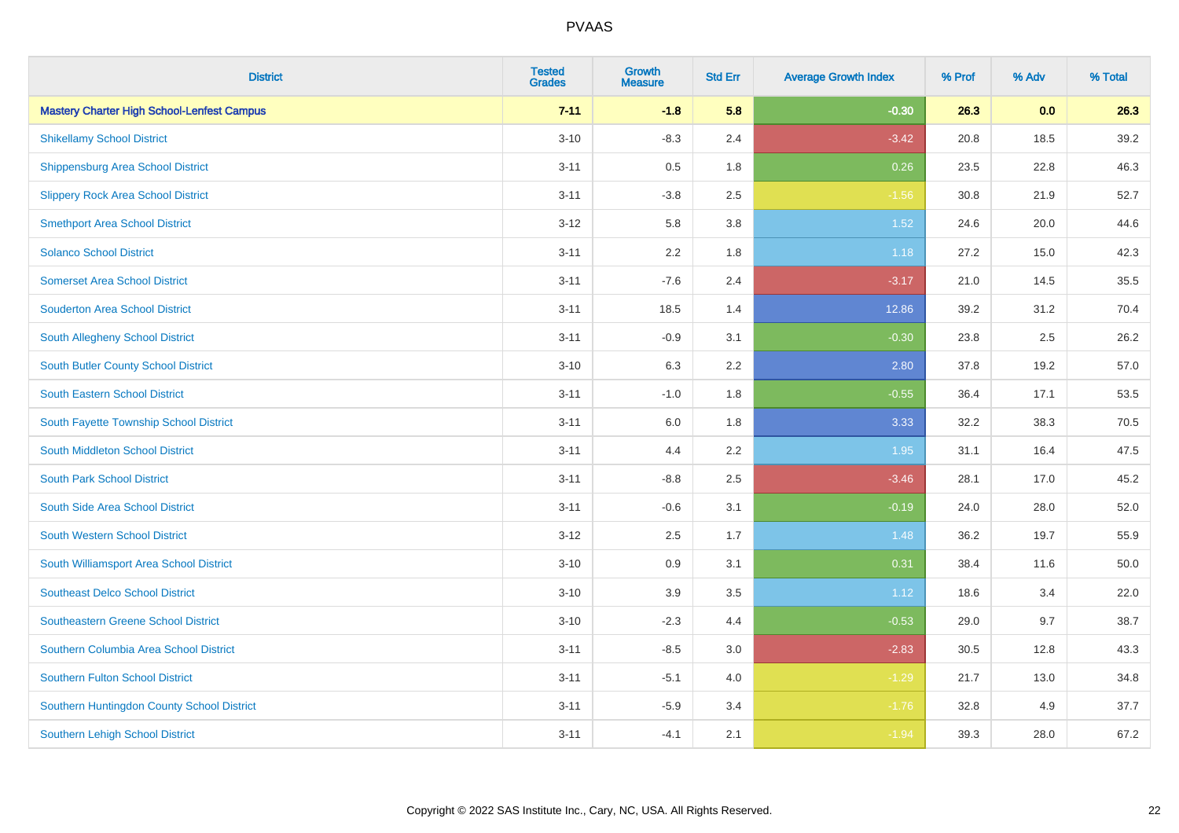| <b>District</b>                                   | <b>Tested</b><br><b>Grades</b> | <b>Growth</b><br><b>Measure</b> | <b>Std Err</b> | <b>Average Growth Index</b> | % Prof | % Adv | % Total |
|---------------------------------------------------|--------------------------------|---------------------------------|----------------|-----------------------------|--------|-------|---------|
| <b>Mastery Charter High School-Lenfest Campus</b> | $7 - 11$                       | $-1.8$                          | 5.8            | $-0.30$                     | 26.3   | 0.0   | 26.3    |
| <b>Shikellamy School District</b>                 | $3 - 10$                       | $-8.3$                          | 2.4            | $-3.42$                     | 20.8   | 18.5  | 39.2    |
| <b>Shippensburg Area School District</b>          | $3 - 11$                       | 0.5                             | 1.8            | 0.26                        | 23.5   | 22.8  | 46.3    |
| <b>Slippery Rock Area School District</b>         | $3 - 11$                       | $-3.8$                          | 2.5            | $-1.56$                     | 30.8   | 21.9  | 52.7    |
| <b>Smethport Area School District</b>             | $3 - 12$                       | 5.8                             | 3.8            | 1.52                        | 24.6   | 20.0  | 44.6    |
| <b>Solanco School District</b>                    | $3 - 11$                       | 2.2                             | 1.8            | 1.18                        | 27.2   | 15.0  | 42.3    |
| <b>Somerset Area School District</b>              | $3 - 11$                       | $-7.6$                          | 2.4            | $-3.17$                     | 21.0   | 14.5  | 35.5    |
| <b>Souderton Area School District</b>             | $3 - 11$                       | 18.5                            | 1.4            | 12.86                       | 39.2   | 31.2  | 70.4    |
| South Allegheny School District                   | $3 - 11$                       | $-0.9$                          | 3.1            | $-0.30$                     | 23.8   | 2.5   | 26.2    |
| <b>South Butler County School District</b>        | $3 - 10$                       | 6.3                             | 2.2            | 2.80                        | 37.8   | 19.2  | 57.0    |
| South Eastern School District                     | $3 - 11$                       | $-1.0$                          | 1.8            | $-0.55$                     | 36.4   | 17.1  | 53.5    |
| South Fayette Township School District            | $3 - 11$                       | 6.0                             | 1.8            | 3.33                        | 32.2   | 38.3  | 70.5    |
| South Middleton School District                   | $3 - 11$                       | 4.4                             | 2.2            | 1.95                        | 31.1   | 16.4  | 47.5    |
| <b>South Park School District</b>                 | $3 - 11$                       | $-8.8$                          | 2.5            | $-3.46$                     | 28.1   | 17.0  | 45.2    |
| South Side Area School District                   | $3 - 11$                       | $-0.6$                          | 3.1            | $-0.19$                     | 24.0   | 28.0  | 52.0    |
| South Western School District                     | $3 - 12$                       | 2.5                             | 1.7            | 1.48                        | 36.2   | 19.7  | 55.9    |
| South Williamsport Area School District           | $3 - 10$                       | $0.9\,$                         | 3.1            | 0.31                        | 38.4   | 11.6  | 50.0    |
| <b>Southeast Delco School District</b>            | $3 - 10$                       | 3.9                             | 3.5            | 1.12                        | 18.6   | 3.4   | 22.0    |
| <b>Southeastern Greene School District</b>        | $3 - 10$                       | $-2.3$                          | 4.4            | $-0.53$                     | 29.0   | 9.7   | 38.7    |
| Southern Columbia Area School District            | $3 - 11$                       | $-8.5$                          | 3.0            | $-2.83$                     | 30.5   | 12.8  | 43.3    |
| <b>Southern Fulton School District</b>            | $3 - 11$                       | $-5.1$                          | 4.0            | $-1.29$                     | 21.7   | 13.0  | 34.8    |
| Southern Huntingdon County School District        | $3 - 11$                       | $-5.9$                          | 3.4            | $-1.76$                     | 32.8   | 4.9   | 37.7    |
| <b>Southern Lehigh School District</b>            | $3 - 11$                       | $-4.1$                          | 2.1            | $-1.94$                     | 39.3   | 28.0  | 67.2    |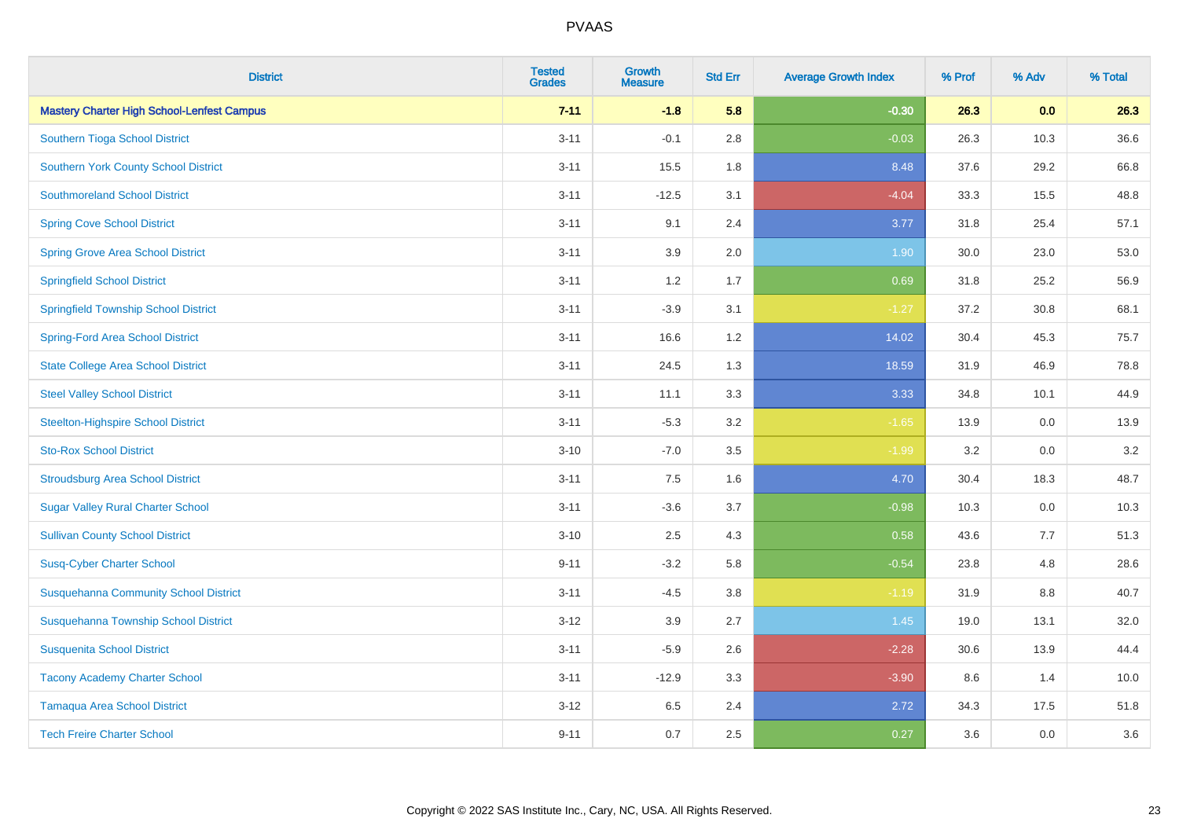| <b>District</b>                                   | <b>Tested</b><br><b>Grades</b> | <b>Growth</b><br><b>Measure</b> | <b>Std Err</b> | <b>Average Growth Index</b> | % Prof | % Adv | % Total |
|---------------------------------------------------|--------------------------------|---------------------------------|----------------|-----------------------------|--------|-------|---------|
| <b>Mastery Charter High School-Lenfest Campus</b> | $7 - 11$                       | $-1.8$                          | 5.8            | $-0.30$                     | 26.3   | 0.0   | 26.3    |
| Southern Tioga School District                    | $3 - 11$                       | $-0.1$                          | 2.8            | $-0.03$                     | 26.3   | 10.3  | 36.6    |
| <b>Southern York County School District</b>       | $3 - 11$                       | 15.5                            | 1.8            | 8.48                        | 37.6   | 29.2  | 66.8    |
| <b>Southmoreland School District</b>              | $3 - 11$                       | $-12.5$                         | 3.1            | $-4.04$                     | 33.3   | 15.5  | 48.8    |
| <b>Spring Cove School District</b>                | $3 - 11$                       | 9.1                             | 2.4            | 3.77                        | 31.8   | 25.4  | 57.1    |
| <b>Spring Grove Area School District</b>          | $3 - 11$                       | 3.9                             | 2.0            | 1.90                        | 30.0   | 23.0  | 53.0    |
| <b>Springfield School District</b>                | $3 - 11$                       | 1.2                             | 1.7            | 0.69                        | 31.8   | 25.2  | 56.9    |
| <b>Springfield Township School District</b>       | $3 - 11$                       | $-3.9$                          | 3.1            | $-1.27$                     | 37.2   | 30.8  | 68.1    |
| <b>Spring-Ford Area School District</b>           | $3 - 11$                       | 16.6                            | 1.2            | 14.02                       | 30.4   | 45.3  | 75.7    |
| <b>State College Area School District</b>         | $3 - 11$                       | 24.5                            | 1.3            | 18.59                       | 31.9   | 46.9  | 78.8    |
| <b>Steel Valley School District</b>               | $3 - 11$                       | 11.1                            | 3.3            | 3.33                        | 34.8   | 10.1  | 44.9    |
| <b>Steelton-Highspire School District</b>         | $3 - 11$                       | $-5.3$                          | 3.2            | $-1.65$                     | 13.9   | 0.0   | 13.9    |
| <b>Sto-Rox School District</b>                    | $3 - 10$                       | $-7.0$                          | 3.5            | $-1.99$                     | 3.2    | 0.0   | 3.2     |
| <b>Stroudsburg Area School District</b>           | $3 - 11$                       | $7.5\,$                         | 1.6            | 4.70                        | 30.4   | 18.3  | 48.7    |
| <b>Sugar Valley Rural Charter School</b>          | $3 - 11$                       | $-3.6$                          | 3.7            | $-0.98$                     | 10.3   | 0.0   | 10.3    |
| <b>Sullivan County School District</b>            | $3 - 10$                       | 2.5                             | 4.3            | 0.58                        | 43.6   | 7.7   | 51.3    |
| <b>Susq-Cyber Charter School</b>                  | $9 - 11$                       | $-3.2$                          | 5.8            | $-0.54$                     | 23.8   | 4.8   | 28.6    |
| <b>Susquehanna Community School District</b>      | $3 - 11$                       | $-4.5$                          | 3.8            | $-1.19$                     | 31.9   | 8.8   | 40.7    |
| Susquehanna Township School District              | $3 - 12$                       | 3.9                             | 2.7            | $1.45$                      | 19.0   | 13.1  | 32.0    |
| <b>Susquenita School District</b>                 | $3 - 11$                       | $-5.9$                          | 2.6            | $-2.28$                     | 30.6   | 13.9  | 44.4    |
| <b>Tacony Academy Charter School</b>              | $3 - 11$                       | $-12.9$                         | 3.3            | $-3.90$                     | 8.6    | 1.4   | 10.0    |
| <b>Tamaqua Area School District</b>               | $3 - 12$                       | 6.5                             | 2.4            | 2.72                        | 34.3   | 17.5  | 51.8    |
| <b>Tech Freire Charter School</b>                 | $9 - 11$                       | 0.7                             | 2.5            | 0.27                        | 3.6    | 0.0   | 3.6     |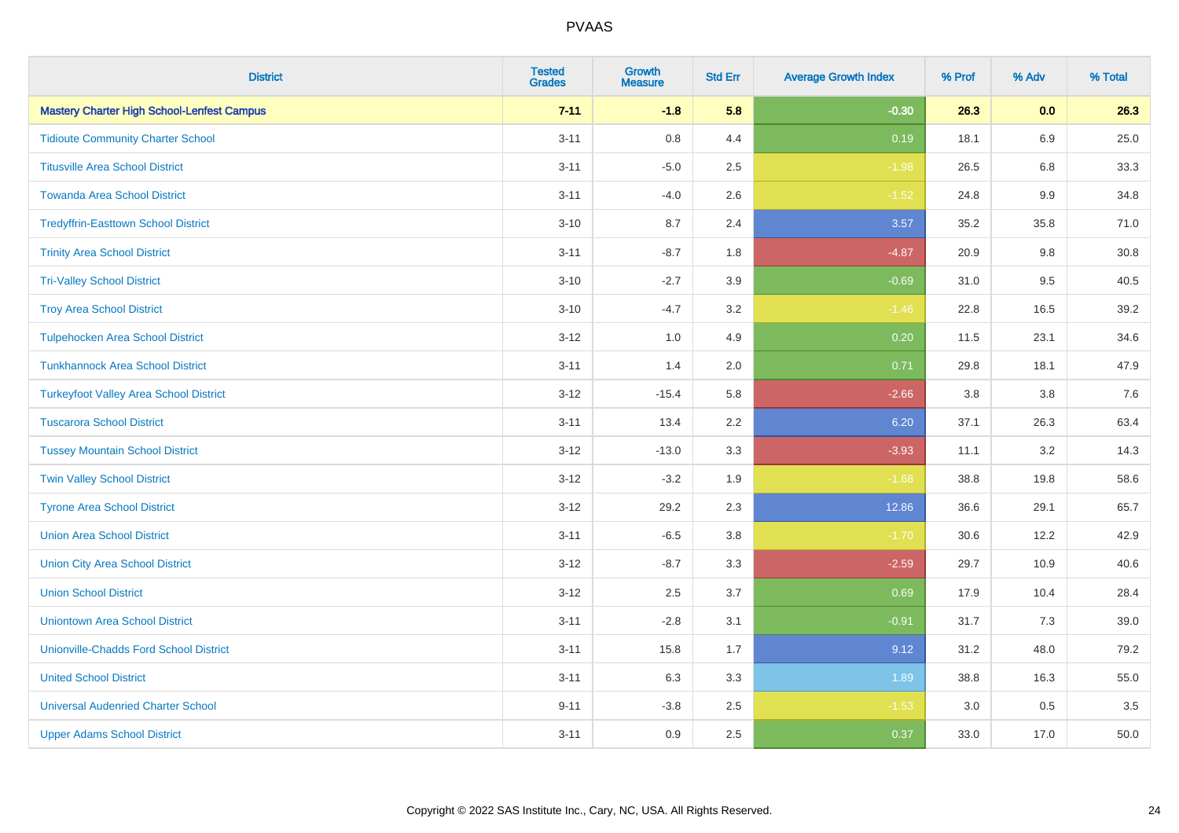| <b>District</b>                                   | <b>Tested</b><br><b>Grades</b> | Growth<br><b>Measure</b> | <b>Std Err</b> | <b>Average Growth Index</b> | % Prof | % Adv   | % Total |
|---------------------------------------------------|--------------------------------|--------------------------|----------------|-----------------------------|--------|---------|---------|
| <b>Mastery Charter High School-Lenfest Campus</b> | $7 - 11$                       | $-1.8$                   | 5.8            | $-0.30$                     | 26.3   | 0.0     | 26.3    |
| <b>Tidioute Community Charter School</b>          | $3 - 11$                       | 0.8                      | 4.4            | 0.19                        | 18.1   | 6.9     | 25.0    |
| <b>Titusville Area School District</b>            | $3 - 11$                       | $-5.0$                   | 2.5            | $-1.98$                     | 26.5   | 6.8     | 33.3    |
| <b>Towanda Area School District</b>               | $3 - 11$                       | $-4.0$                   | 2.6            | $-1.52$                     | 24.8   | 9.9     | 34.8    |
| <b>Tredyffrin-Easttown School District</b>        | $3 - 10$                       | 8.7                      | 2.4            | 3.57                        | 35.2   | 35.8    | 71.0    |
| <b>Trinity Area School District</b>               | $3 - 11$                       | $-8.7$                   | 1.8            | $-4.87$                     | 20.9   | $9.8\,$ | 30.8    |
| <b>Tri-Valley School District</b>                 | $3 - 10$                       | $-2.7$                   | 3.9            | $-0.69$                     | 31.0   | 9.5     | 40.5    |
| <b>Troy Area School District</b>                  | $3 - 10$                       | $-4.7$                   | 3.2            | $-1.46$                     | 22.8   | 16.5    | 39.2    |
| <b>Tulpehocken Area School District</b>           | $3 - 12$                       | 1.0                      | 4.9            | 0.20                        | 11.5   | 23.1    | 34.6    |
| <b>Tunkhannock Area School District</b>           | $3 - 11$                       | 1.4                      | 2.0            | 0.71                        | 29.8   | 18.1    | 47.9    |
| <b>Turkeyfoot Valley Area School District</b>     | $3 - 12$                       | $-15.4$                  | 5.8            | $-2.66$                     | 3.8    | 3.8     | 7.6     |
| <b>Tuscarora School District</b>                  | $3 - 11$                       | 13.4                     | 2.2            | 6.20                        | 37.1   | 26.3    | 63.4    |
| <b>Tussey Mountain School District</b>            | $3 - 12$                       | $-13.0$                  | 3.3            | $-3.93$                     | 11.1   | $3.2\,$ | 14.3    |
| <b>Twin Valley School District</b>                | $3 - 12$                       | $-3.2$                   | 1.9            | $-1.68$                     | 38.8   | 19.8    | 58.6    |
| <b>Tyrone Area School District</b>                | $3 - 12$                       | 29.2                     | 2.3            | 12.86                       | 36.6   | 29.1    | 65.7    |
| <b>Union Area School District</b>                 | $3 - 11$                       | $-6.5$                   | 3.8            | $-1.70$                     | 30.6   | 12.2    | 42.9    |
| <b>Union City Area School District</b>            | $3 - 12$                       | $-8.7$                   | 3.3            | $-2.59$                     | 29.7   | 10.9    | 40.6    |
| <b>Union School District</b>                      | $3 - 12$                       | 2.5                      | 3.7            | 0.69                        | 17.9   | 10.4    | 28.4    |
| <b>Uniontown Area School District</b>             | $3 - 11$                       | $-2.8$                   | 3.1            | $-0.91$                     | 31.7   | 7.3     | 39.0    |
| <b>Unionville-Chadds Ford School District</b>     | $3 - 11$                       | 15.8                     | 1.7            | 9.12                        | 31.2   | 48.0    | 79.2    |
| <b>United School District</b>                     | $3 - 11$                       | 6.3                      | 3.3            | 1.89                        | 38.8   | 16.3    | 55.0    |
| <b>Universal Audenried Charter School</b>         | $9 - 11$                       | $-3.8$                   | 2.5            | $-1.53$                     | 3.0    | 0.5     | 3.5     |
| <b>Upper Adams School District</b>                | $3 - 11$                       | 0.9                      | 2.5            | 0.37                        | 33.0   | 17.0    | 50.0    |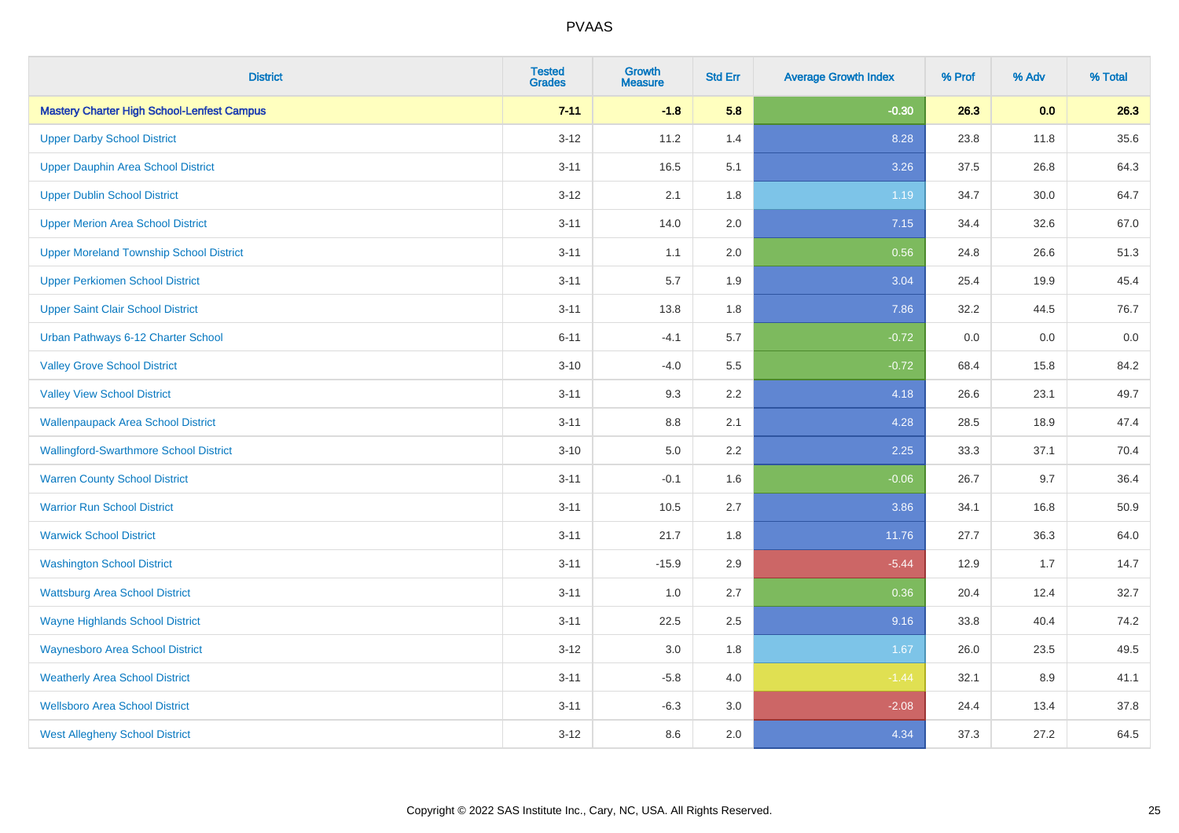| <b>District</b>                                   | <b>Tested</b><br><b>Grades</b> | <b>Growth</b><br><b>Measure</b> | <b>Std Err</b> | <b>Average Growth Index</b> | % Prof | % Adv | % Total |
|---------------------------------------------------|--------------------------------|---------------------------------|----------------|-----------------------------|--------|-------|---------|
| <b>Mastery Charter High School-Lenfest Campus</b> | $7 - 11$                       | $-1.8$                          | 5.8            | $-0.30$                     | 26.3   | 0.0   | 26.3    |
| <b>Upper Darby School District</b>                | $3 - 12$                       | 11.2                            | 1.4            | 8.28                        | 23.8   | 11.8  | 35.6    |
| <b>Upper Dauphin Area School District</b>         | $3 - 11$                       | 16.5                            | 5.1            | 3.26                        | 37.5   | 26.8  | 64.3    |
| <b>Upper Dublin School District</b>               | $3 - 12$                       | 2.1                             | 1.8            | 1.19                        | 34.7   | 30.0  | 64.7    |
| <b>Upper Merion Area School District</b>          | $3 - 11$                       | 14.0                            | 2.0            | 7.15                        | 34.4   | 32.6  | 67.0    |
| <b>Upper Moreland Township School District</b>    | $3 - 11$                       | 1.1                             | 2.0            | 0.56                        | 24.8   | 26.6  | 51.3    |
| <b>Upper Perkiomen School District</b>            | $3 - 11$                       | 5.7                             | 1.9            | 3.04                        | 25.4   | 19.9  | 45.4    |
| <b>Upper Saint Clair School District</b>          | $3 - 11$                       | 13.8                            | 1.8            | 7.86                        | 32.2   | 44.5  | 76.7    |
| Urban Pathways 6-12 Charter School                | $6 - 11$                       | $-4.1$                          | 5.7            | $-0.72$                     | 0.0    | 0.0   | $0.0\,$ |
| <b>Valley Grove School District</b>               | $3 - 10$                       | $-4.0$                          | 5.5            | $-0.72$                     | 68.4   | 15.8  | 84.2    |
| <b>Valley View School District</b>                | $3 - 11$                       | 9.3                             | 2.2            | 4.18                        | 26.6   | 23.1  | 49.7    |
| <b>Wallenpaupack Area School District</b>         | $3 - 11$                       | 8.8                             | 2.1            | 4.28                        | 28.5   | 18.9  | 47.4    |
| <b>Wallingford-Swarthmore School District</b>     | $3 - 10$                       | $5.0\,$                         | 2.2            | 2.25                        | 33.3   | 37.1  | 70.4    |
| <b>Warren County School District</b>              | $3 - 11$                       | $-0.1$                          | 1.6            | $-0.06$                     | 26.7   | 9.7   | 36.4    |
| <b>Warrior Run School District</b>                | $3 - 11$                       | 10.5                            | 2.7            | 3.86                        | 34.1   | 16.8  | 50.9    |
| <b>Warwick School District</b>                    | $3 - 11$                       | 21.7                            | 1.8            | 11.76                       | 27.7   | 36.3  | 64.0    |
| <b>Washington School District</b>                 | $3 - 11$                       | $-15.9$                         | 2.9            | $-5.44$                     | 12.9   | 1.7   | 14.7    |
| <b>Wattsburg Area School District</b>             | $3 - 11$                       | 1.0                             | 2.7            | 0.36                        | 20.4   | 12.4  | 32.7    |
| <b>Wayne Highlands School District</b>            | $3 - 11$                       | 22.5                            | 2.5            | 9.16                        | 33.8   | 40.4  | 74.2    |
| <b>Waynesboro Area School District</b>            | $3 - 12$                       | 3.0                             | 1.8            | 1.67                        | 26.0   | 23.5  | 49.5    |
| <b>Weatherly Area School District</b>             | $3 - 11$                       | $-5.8$                          | 4.0            | $-1.44$                     | 32.1   | 8.9   | 41.1    |
| <b>Wellsboro Area School District</b>             | $3 - 11$                       | $-6.3$                          | 3.0            | $-2.08$                     | 24.4   | 13.4  | 37.8    |
| <b>West Allegheny School District</b>             | $3 - 12$                       | 8.6                             | 2.0            | 4.34                        | 37.3   | 27.2  | 64.5    |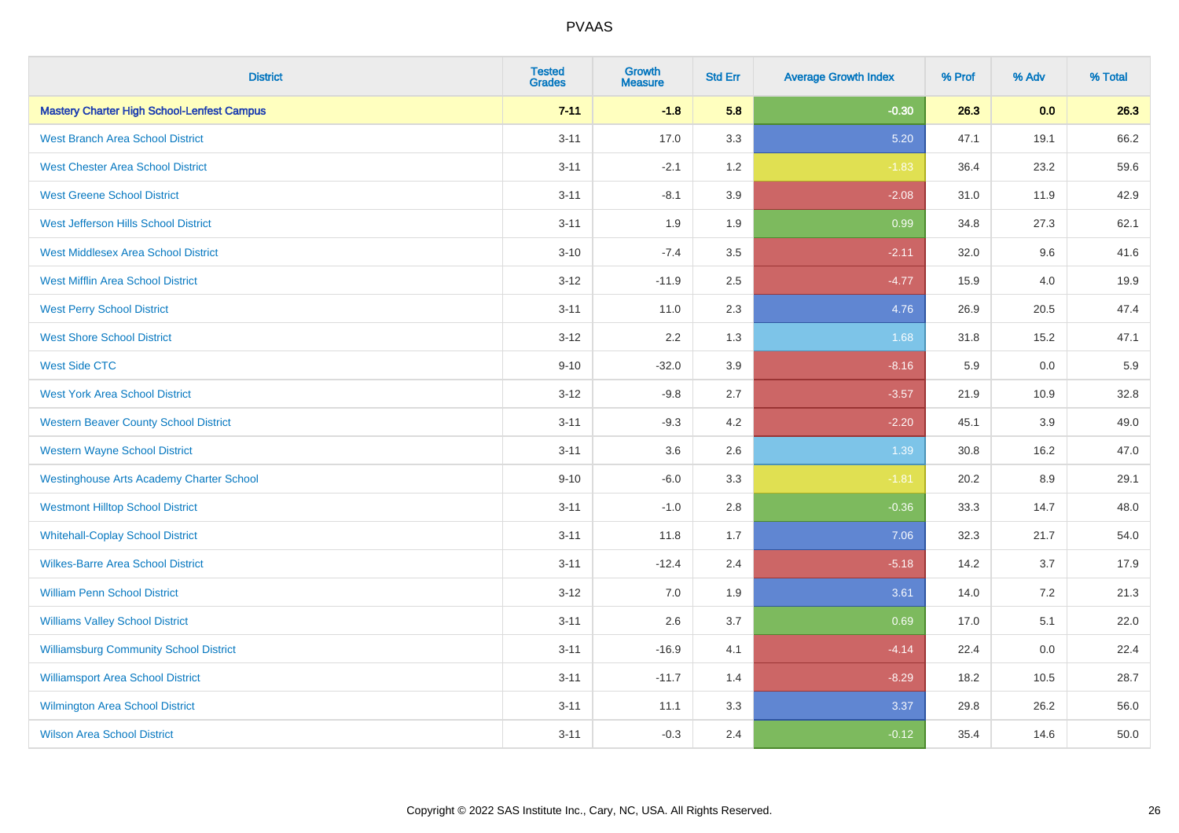| <b>District</b>                                   | <b>Tested</b><br><b>Grades</b> | <b>Growth</b><br><b>Measure</b> | <b>Std Err</b> | <b>Average Growth Index</b> | % Prof | % Adv | % Total |
|---------------------------------------------------|--------------------------------|---------------------------------|----------------|-----------------------------|--------|-------|---------|
| <b>Mastery Charter High School-Lenfest Campus</b> | $7 - 11$                       | $-1.8$                          | 5.8            | $-0.30$                     | 26.3   | 0.0   | 26.3    |
| <b>West Branch Area School District</b>           | $3 - 11$                       | 17.0                            | 3.3            | 5.20                        | 47.1   | 19.1  | 66.2    |
| <b>West Chester Area School District</b>          | $3 - 11$                       | $-2.1$                          | 1.2            | $-1.83$                     | 36.4   | 23.2  | 59.6    |
| <b>West Greene School District</b>                | $3 - 11$                       | $-8.1$                          | 3.9            | $-2.08$                     | 31.0   | 11.9  | 42.9    |
| West Jefferson Hills School District              | $3 - 11$                       | 1.9                             | 1.9            | 0.99                        | 34.8   | 27.3  | 62.1    |
| <b>West Middlesex Area School District</b>        | $3 - 10$                       | $-7.4$                          | 3.5            | $-2.11$                     | 32.0   | 9.6   | 41.6    |
| <b>West Mifflin Area School District</b>          | $3 - 12$                       | $-11.9$                         | 2.5            | $-4.77$                     | 15.9   | 4.0   | 19.9    |
| <b>West Perry School District</b>                 | $3 - 11$                       | 11.0                            | 2.3            | 4.76                        | 26.9   | 20.5  | 47.4    |
| <b>West Shore School District</b>                 | $3 - 12$                       | 2.2                             | 1.3            | 1.68                        | 31.8   | 15.2  | 47.1    |
| <b>West Side CTC</b>                              | $9 - 10$                       | $-32.0$                         | 3.9            | $-8.16$                     | 5.9    | 0.0   | 5.9     |
| <b>West York Area School District</b>             | $3 - 12$                       | $-9.8$                          | 2.7            | $-3.57$                     | 21.9   | 10.9  | 32.8    |
| <b>Western Beaver County School District</b>      | $3 - 11$                       | $-9.3$                          | 4.2            | $-2.20$                     | 45.1   | 3.9   | 49.0    |
| <b>Western Wayne School District</b>              | $3 - 11$                       | 3.6                             | 2.6            | 1.39                        | 30.8   | 16.2  | 47.0    |
| <b>Westinghouse Arts Academy Charter School</b>   | $9 - 10$                       | $-6.0$                          | 3.3            | $-1.81$                     | 20.2   | 8.9   | 29.1    |
| <b>Westmont Hilltop School District</b>           | $3 - 11$                       | $-1.0$                          | 2.8            | $-0.36$                     | 33.3   | 14.7  | 48.0    |
| <b>Whitehall-Coplay School District</b>           | $3 - 11$                       | 11.8                            | 1.7            | 7.06                        | 32.3   | 21.7  | 54.0    |
| <b>Wilkes-Barre Area School District</b>          | $3 - 11$                       | $-12.4$                         | 2.4            | $-5.18$                     | 14.2   | 3.7   | 17.9    |
| <b>William Penn School District</b>               | $3 - 12$                       | 7.0                             | 1.9            | 3.61                        | 14.0   | 7.2   | 21.3    |
| <b>Williams Valley School District</b>            | $3 - 11$                       | 2.6                             | 3.7            | 0.69                        | 17.0   | 5.1   | 22.0    |
| <b>Williamsburg Community School District</b>     | $3 - 11$                       | $-16.9$                         | 4.1            | $-4.14$                     | 22.4   | 0.0   | 22.4    |
| <b>Williamsport Area School District</b>          | $3 - 11$                       | $-11.7$                         | 1.4            | $-8.29$                     | 18.2   | 10.5  | 28.7    |
| Wilmington Area School District                   | $3 - 11$                       | 11.1                            | 3.3            | 3.37                        | 29.8   | 26.2  | 56.0    |
| <b>Wilson Area School District</b>                | $3 - 11$                       | $-0.3$                          | 2.4            | $-0.12$                     | 35.4   | 14.6  | 50.0    |